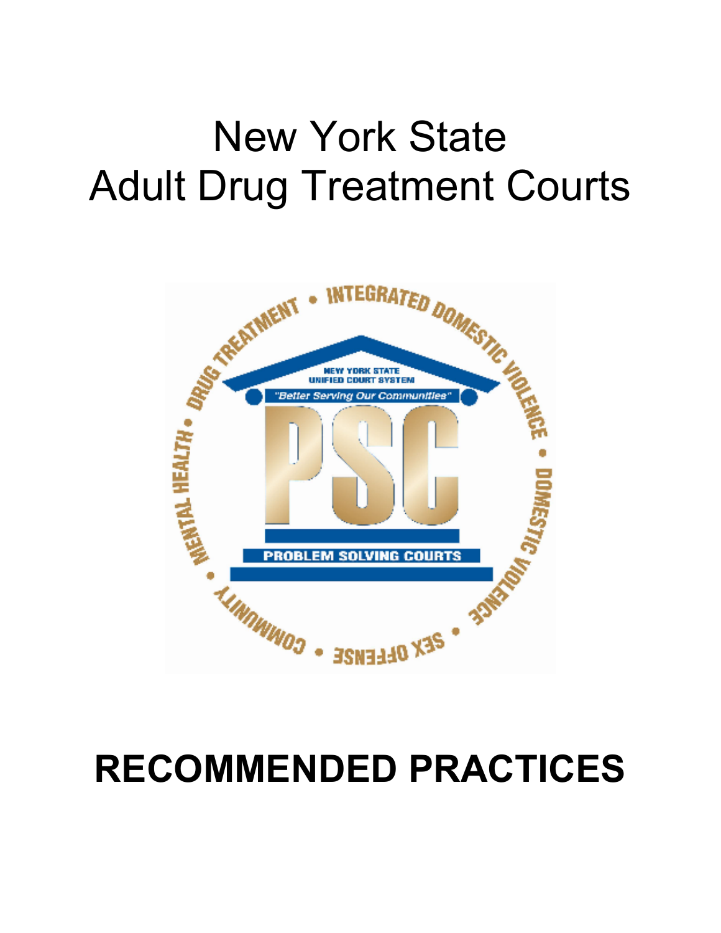# New York State Adult Drug Treatment Courts



# **RECOMMENDED PRACTICES**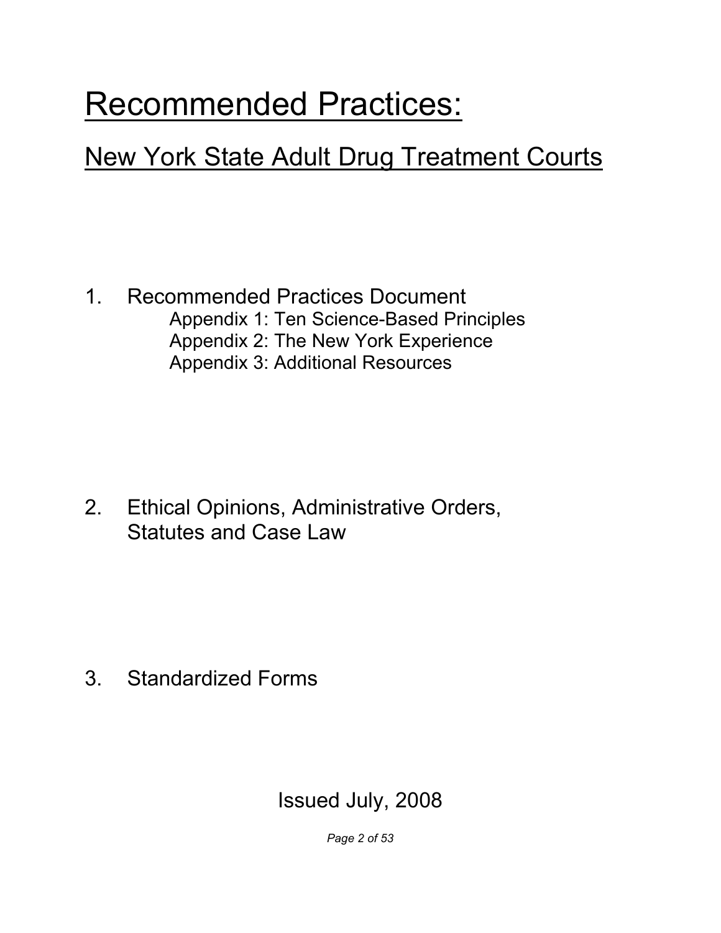## Recommended Practices:

## New York State Adult Drug Treatment Courts

 1. Recommended Practices Document Appendix 1: Ten Science-Based Principles Appendix 2: The New York Experience Appendix 3: Additional Resources

 $2<sub>1</sub>$  Statutes and Case Law Ethical Opinions, Administrative Orders,

3. Standardized Forms

## Issued July, 2008

 *Page 2 of 53*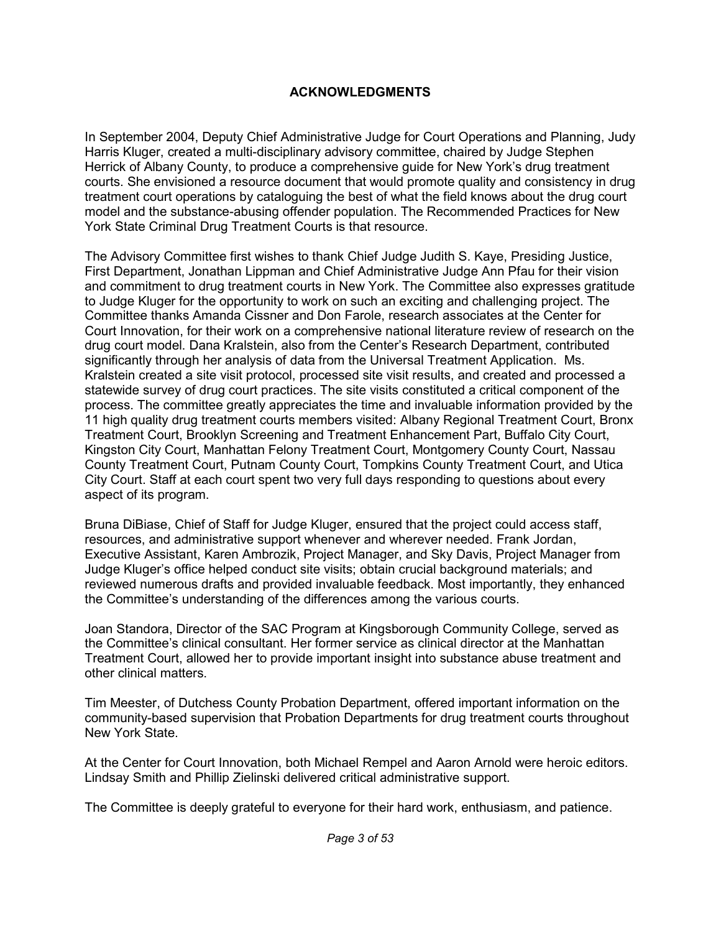#### **ACKNOWLEDGMENTS**

 In September 2004, Deputy Chief Administrative Judge for Court Operations and Planning, Judy Harris Kluger, created a multi-disciplinary advisory committee, chaired by Judge Stephen Herrick of Albany County, to produce a comprehensive guide for New York's drug treatment courts. She envisioned a resource document that would promote quality and consistency in drug treatment court operations by cataloguing the best of what the field knows about the drug court model and the substance-abusing offender population. The Recommended Practices for New York State Criminal Drug Treatment Courts is that resource.

 The Advisory Committee first wishes to thank Chief Judge Judith S. Kaye, Presiding Justice, First Department, Jonathan Lippman and Chief Administrative Judge Ann Pfau for their vision and commitment to drug treatment courts in New York. The Committee also expresses gratitude to Judge Kluger for the opportunity to work on such an exciting and challenging project. The Committee thanks Amanda Cissner and Don Farole, research associates at the Center for Court Innovation, for their work on a comprehensive national literature review of research on the drug court model. Dana Kralstein, also from the Center's Research Department, contributed significantly through her analysis of data from the Universal Treatment Application. Ms. Kralstein created a site visit protocol, processed site visit results, and created and processed a statewide survey of drug court practices. The site visits constituted a critical component of the process. The committee greatly appreciates the time and invaluable information provided by the 11 high quality drug treatment courts members visited: Albany Regional Treatment Court, Bronx Treatment Court, Brooklyn Screening and Treatment Enhancement Part, Buffalo City Court, Kingston City Court, Manhattan Felony Treatment Court, Montgomery County Court, Nassau County Treatment Court, Putnam County Court, Tompkins County Treatment Court, and Utica City Court. Staff at each court spent two very full days responding to questions about every aspect of its program.

 Bruna DiBiase, Chief of Staff for Judge Kluger, ensured that the project could access staff, resources, and administrative support whenever and wherever needed. Frank Jordan, Executive Assistant, Karen Ambrozik, Project Manager, and Sky Davis, Project Manager from Judge Kluger's office helped conduct site visits; obtain crucial background materials; and reviewed numerous drafts and provided invaluable feedback. Most importantly, they enhanced the Committee's understanding of the differences among the various courts.

 Joan Standora, Director of the SAC Program at Kingsborough Community College, served as the Committee's clinical consultant. Her former service as clinical director at the Manhattan Treatment Court, allowed her to provide important insight into substance abuse treatment and other clinical matters.

 Tim Meester, of Dutchess County Probation Department, offered important information on the community-based supervision that Probation Departments for drug treatment courts throughout New York State.

 At the Center for Court Innovation, both Michael Rempel and Aaron Arnold were heroic editors. Lindsay Smith and Phillip Zielinski delivered critical administrative support.

The Committee is deeply grateful to everyone for their hard work, enthusiasm, and patience.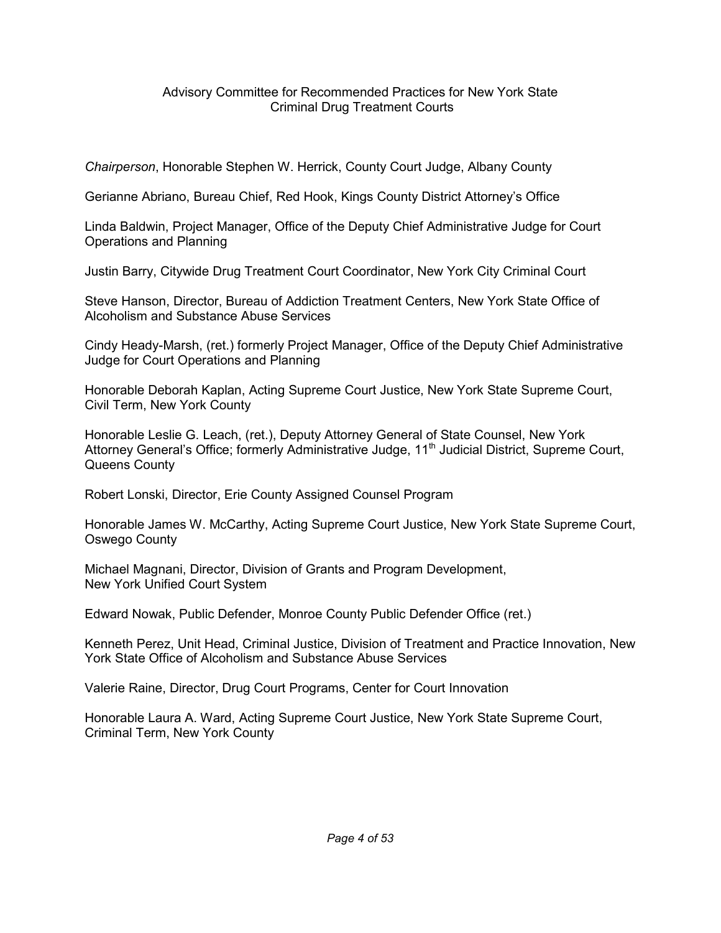#### Advisory Committee for Recommended Practices for New York State Criminal Drug Treatment Courts

*Chairperson*, Honorable Stephen W. Herrick, County Court Judge, Albany County

Gerianne Abriano, Bureau Chief, Red Hook, Kings County District Attorney's Office

 Linda Baldwin, Project Manager, Office of the Deputy Chief Administrative Judge for Court Operations and Planning

Justin Barry, Citywide Drug Treatment Court Coordinator, New York City Criminal Court

 Steve Hanson, Director, Bureau of Addiction Treatment Centers, New York State Office of Alcoholism and Substance Abuse Services

 Cindy Heady-Marsh, (ret.) formerly Project Manager, Office of the Deputy Chief Administrative Judge for Court Operations and Planning

 Honorable Deborah Kaplan, Acting Supreme Court Justice, New York State Supreme Court, Civil Term, New York County

 Honorable Leslie G. Leach, (ret.), Deputy Attorney General of State Counsel, New York Attorney General's Office; formerly Administrative Judge, 11<sup>th</sup> Judicial District, Supreme Court, Queens County

Robert Lonski, Director, Erie County Assigned Counsel Program

 Honorable James W. McCarthy, Acting Supreme Court Justice, New York State Supreme Court, Oswego County

 Michael Magnani, Director, Division of Grants and Program Development, New York Unified Court System

Edward Nowak, Public Defender, Monroe County Public Defender Office (ret.)

 Kenneth Perez, Unit Head, Criminal Justice, Division of Treatment and Practice Innovation, New York State Office of Alcoholism and Substance Abuse Services

Valerie Raine, Director, Drug Court Programs, Center for Court Innovation

 Honorable Laura A. Ward, Acting Supreme Court Justice, New York State Supreme Court, Criminal Term, New York County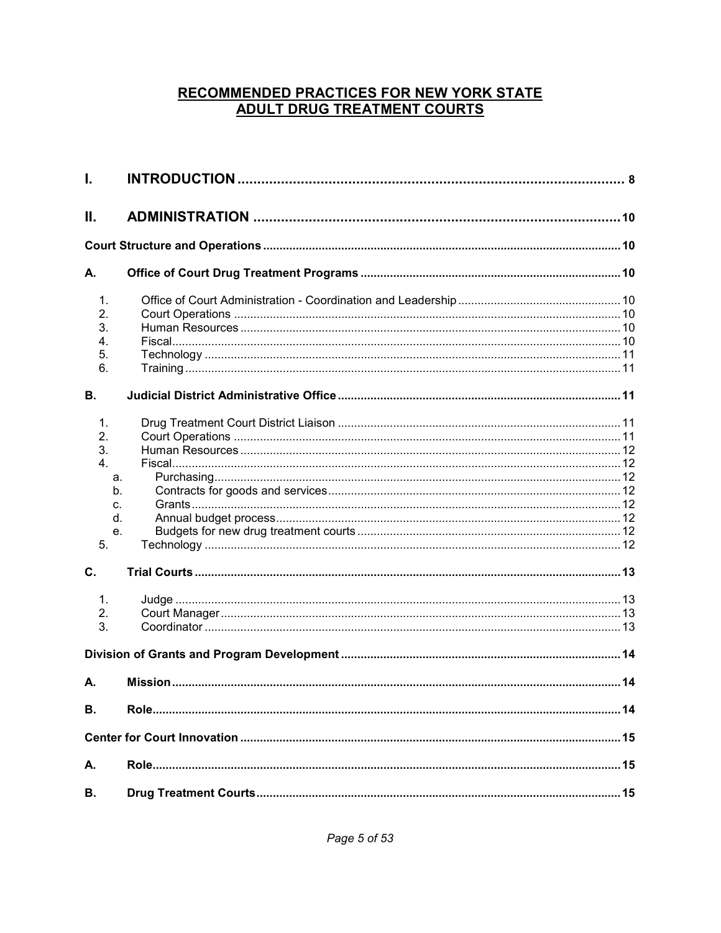### **RECOMMENDED PRACTICES FOR NEW YORK STATE ADULT DRUG TREATMENT COURTS**

| I.             |  |
|----------------|--|
| Ш.             |  |
|                |  |
| А.             |  |
| $\mathbf{1}$ . |  |
| 2.             |  |
| 3.             |  |
| 4.             |  |
| 5.             |  |
| 6.             |  |
|                |  |
| <b>B.</b>      |  |
| 1.             |  |
| 2.             |  |
| 3.             |  |
| 4.             |  |
| a.             |  |
| b.             |  |
|                |  |
| C.             |  |
| $d_{\cdot}$    |  |
| е.             |  |
| 5.             |  |
| C.             |  |
| 1.             |  |
| 2.             |  |
| 3.             |  |
|                |  |
| А.             |  |
| В.             |  |
|                |  |
|                |  |
| А.             |  |
| В.             |  |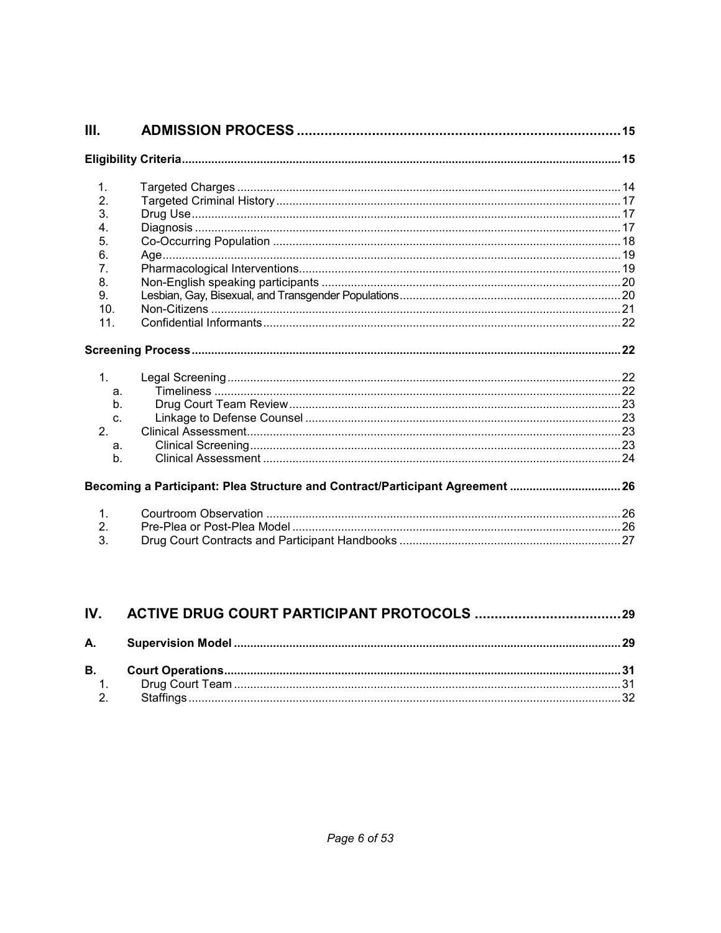| III.                                                                         |                                                                               |  |
|------------------------------------------------------------------------------|-------------------------------------------------------------------------------|--|
|                                                                              |                                                                               |  |
| $\mathbf{1}$ .<br>2.<br>3.<br>4.<br>5.<br>6.<br>7.<br>8.<br>9.<br>10.<br>11. |                                                                               |  |
|                                                                              |                                                                               |  |
|                                                                              |                                                                               |  |
| 1.<br>a.<br>$h_{\cdot}$<br>C.<br>2.<br>a.<br>$h_{\cdot}$                     |                                                                               |  |
|                                                                              | Becoming a Participant: Plea Structure and Contract/Participant Agreement  26 |  |

| IV. |  |
|-----|--|
|     |  |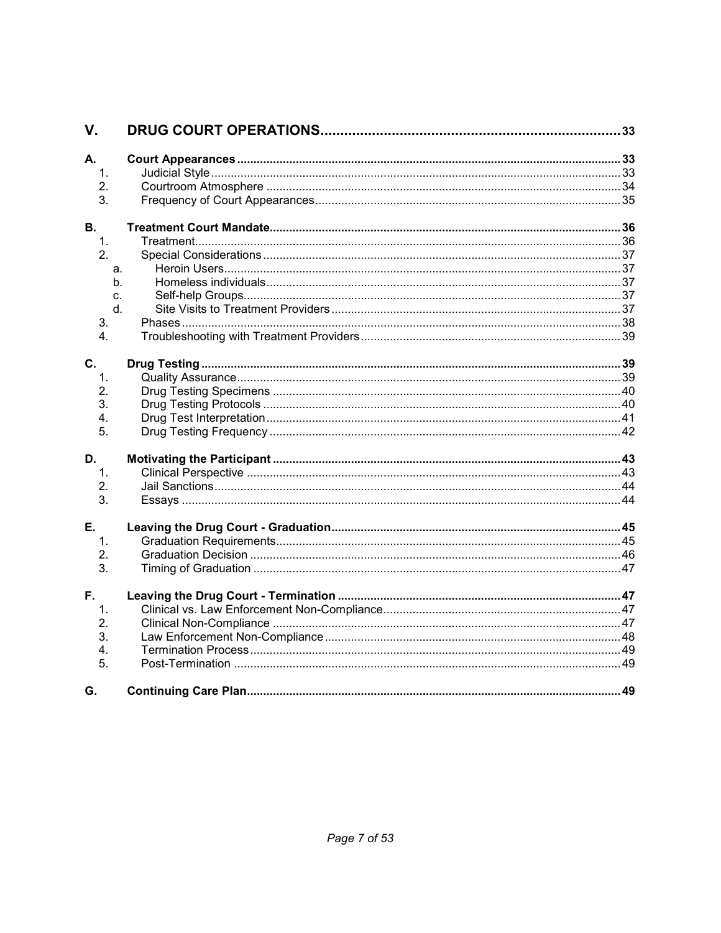| V.               |  |
|------------------|--|
| А.               |  |
| $\mathbf{1}$ .   |  |
| 2.               |  |
| 3.               |  |
| В.               |  |
| $\mathbf{1}$ .   |  |
| 2.               |  |
| a.               |  |
| b.               |  |
| C.               |  |
| $d_{-}$          |  |
| 3.               |  |
| $\overline{4}$ . |  |
| C.               |  |
| $\mathbf 1$      |  |
| 2.               |  |
| 3.               |  |
| 4.               |  |
| 5.               |  |
|                  |  |
| D.               |  |
| $\mathbf 1$      |  |
| 2.               |  |
| 3.               |  |
| Е.               |  |
| $\mathbf{1}$ .   |  |
| 2.               |  |
| 3.               |  |
| F.               |  |
| 1.               |  |
| 2.               |  |
| 3.               |  |
| 4.               |  |
| 5.               |  |
| G.               |  |
|                  |  |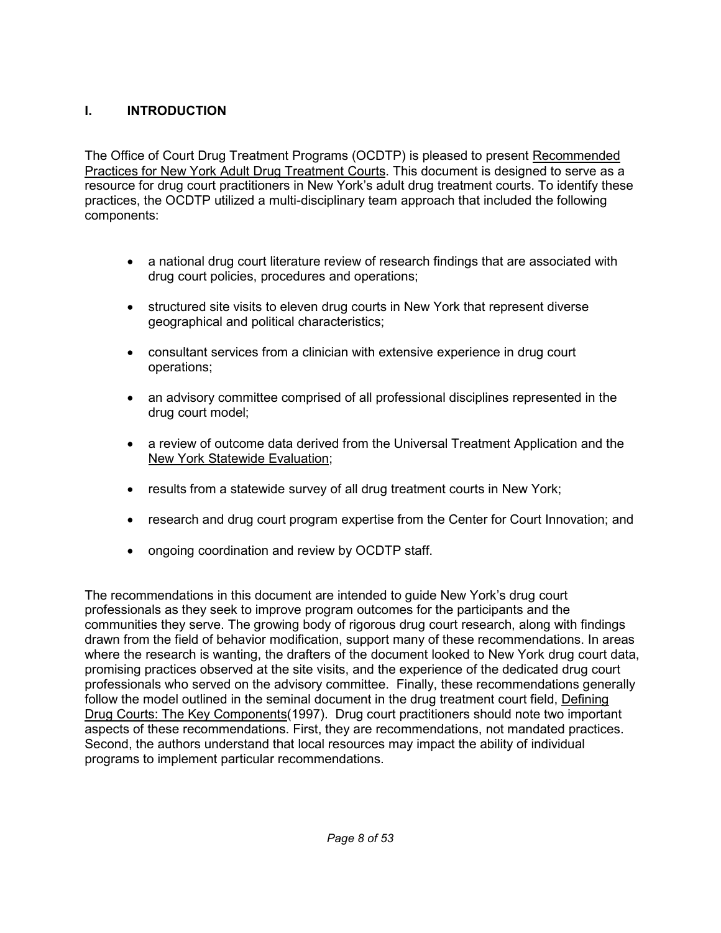### **I. INTRODUCTION**

The Office of Court Drug Treatment Programs (OCDTP) is pleased to present Recommended Practices for New York Adult Drug Treatment Courts. This document is designed to serve as a resource for drug court practitioners in New York's adult drug treatment courts. To identify these practices, the OCDTP utilized a multi-disciplinary team approach that included the following components:

- • a national drug court literature review of research findings that are associated with drug court policies, procedures and operations;
- • structured site visits to eleven drug courts in New York that represent diverse geographical and political characteristics;
- • consultant services from a clinician with extensive experience in drug court operations;
- • an advisory committee comprised of all professional disciplines represented in the drug court model;
- • a review of outcome data derived from the Universal Treatment Application and the New York Statewide Evaluation;
- results from a statewide survey of all drug treatment courts in New York;
- research and drug court program expertise from the Center for Court Innovation; and
- ongoing coordination and review by OCDTP staff.

 The recommendations in this document are intended to guide New York's drug court professionals as they seek to improve program outcomes for the participants and the communities they serve. The growing body of rigorous drug court research, along with findings drawn from the field of behavior modification, support many of these recommendations. In areas where the research is wanting, the drafters of the document looked to New York drug court data, promising practices observed at the site visits, and the experience of the dedicated drug court professionals who served on the advisory committee. Finally, these recommendations generally follow the model outlined in the seminal document in the drug treatment court field, Defining Drug Courts: The Key Components (1997). Drug court practitioners should note two important aspects of these recommendations. First, they are recommendations, not mandated practices. Second, the authors understand that local resources may impact the ability of individual programs to implement particular recommendations.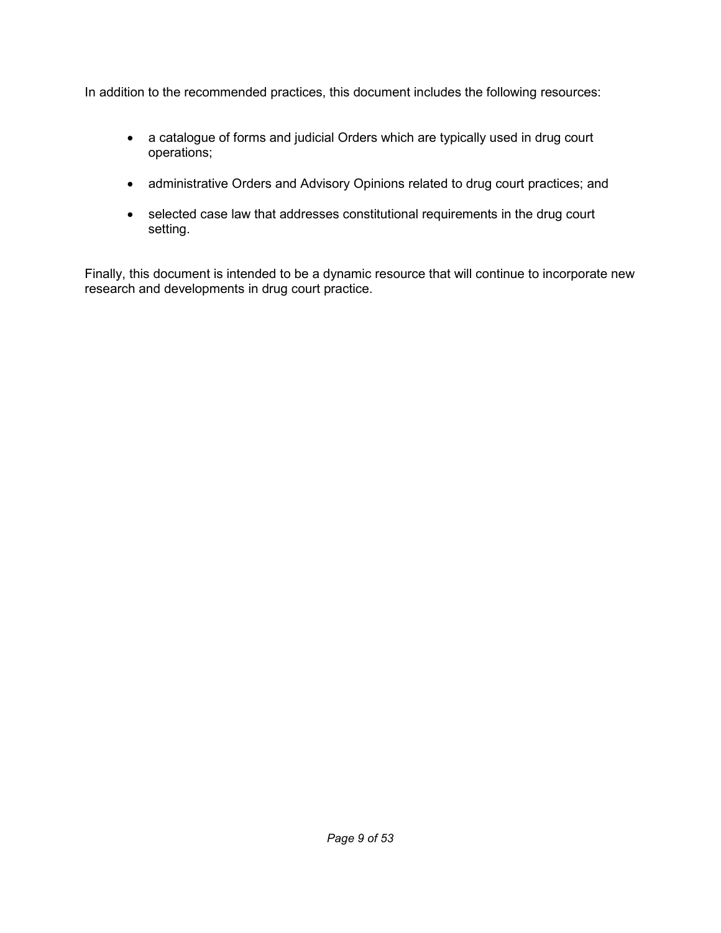In addition to the recommended practices, this document includes the following resources:

- • a catalogue of forms and judicial Orders which are typically used in drug court operations;
- administrative Orders and Advisory Opinions related to drug court practices; and
- • selected case law that addresses constitutional requirements in the drug court setting.

 Finally, this document is intended to be a dynamic resource that will continue to incorporate new research and developments in drug court practice.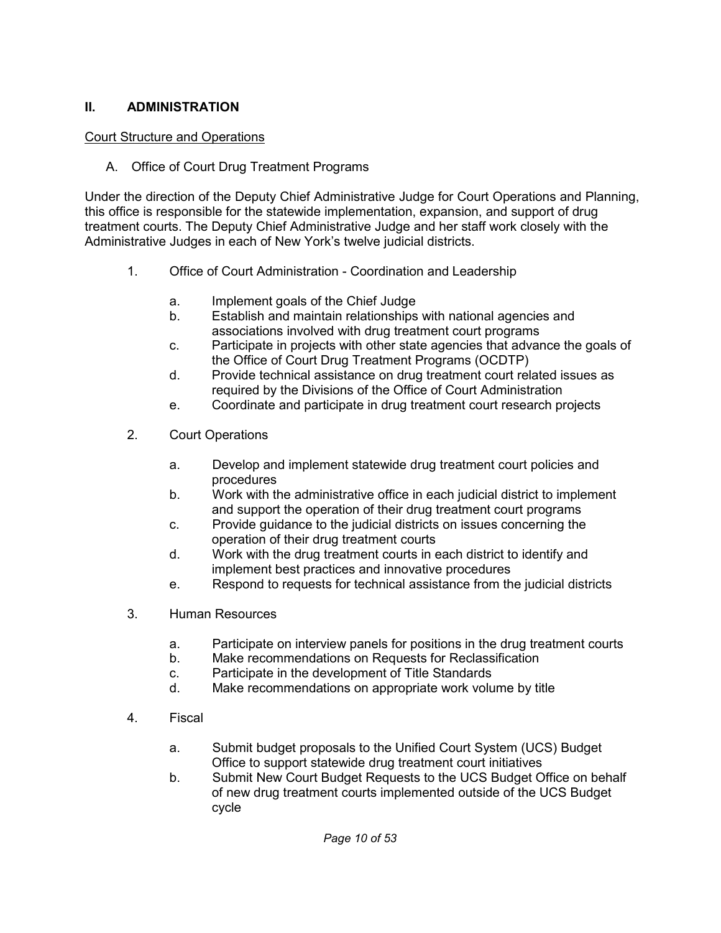#### **II. ADMINISTRATION**

#### Court Structure and Operations

A. Office of Court Drug Treatment Programs

 Under the direction of the Deputy Chief Administrative Judge for Court Operations and Planning, this office is responsible for the statewide implementation, expansion, and support of drug treatment courts. The Deputy Chief Administrative Judge and her staff work closely with the Administrative Judges in each of New York's twelve judicial districts.

- $1<sub>1</sub>$ Office of Court Administration - Coordination and Leadership
	- a. Implement goals of the Chief Judge
	- b. Establish and maintain relationships with national agencies and associations involved with drug treatment court programs
	- c. Participate in projects with other state agencies that advance the goals of the Office of Court Drug Treatment Programs (OCDTP)
	- d. Provide technical assistance on drug treatment court related issues as required by the Divisions of the Office of Court Administration
	- e. Coordinate and participate in drug treatment court research projects
- $2<sub>1</sub>$ 2. Court Operations
	- a. Develop and implement statewide drug treatment court policies and procedures
	- $b<sub>1</sub>$  and support the operation of their drug treatment court programs b. Work with the administrative office in each judicial district to implement
	- c. Provide guidance to the judicial districts on issues concerning the operation of their drug treatment courts
	- $\mathsf{h}$  implement best practices and innovative procedures Work with the drug treatment courts in each district to identify and
	- e. Respond to requests for technical assistance from the judicial districts
- 3. 3. Human Resources
	- a. Participate on interview panels for positions in the drug treatment courts
	- $b<sub>1</sub>$ Make recommendations on Requests for Reclassification
	- c. Participate in the development of Title Standards
	- $d_{-}$ Make recommendations on appropriate work volume by title
- $\overline{4}$ . **Fiscal** 
	- a. Submit budget proposals to the Unified Court System (UCS) Budget Office to support statewide drug treatment court initiatives
	- b. Submit New Court Budget Requests to the UCS Budget Office on behalf of new drug treatment courts implemented outside of the UCS Budget cycle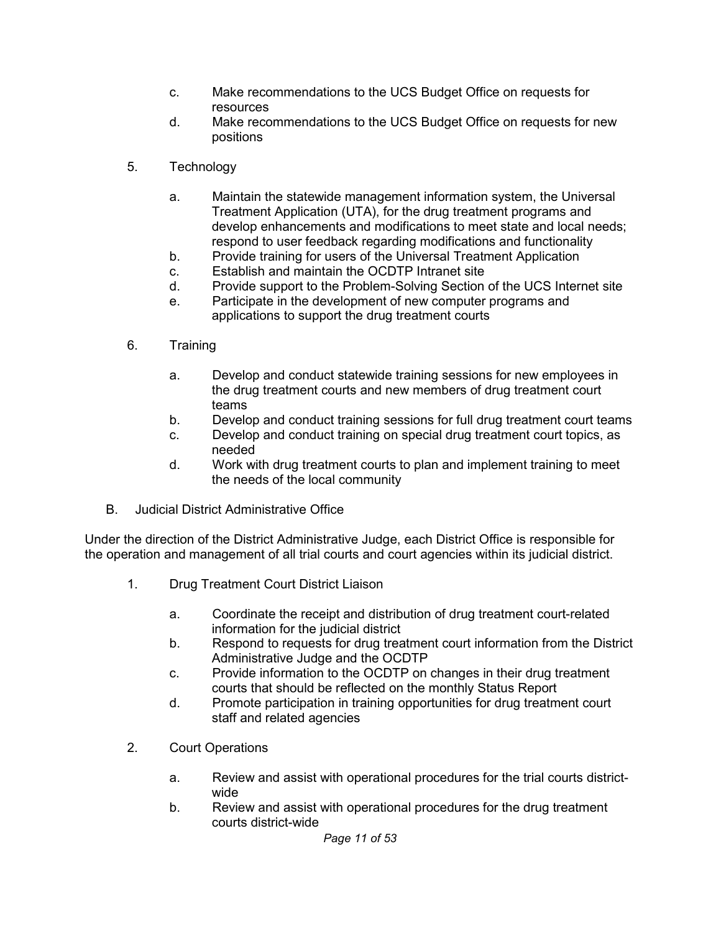- C. Make recommendations to the UCS Budget Office on requests for resources
- $\mathsf{h}$ positions Make recommendations to the UCS Budget Office on requests for new
- 5. Technology
	- a. Maintain the statewide management information system, the Universal Treatment Application (UTA), for the drug treatment programs and develop enhancements and modifications to meet state and local needs; respond to user feedback regarding modifications and functionality
	- b. Provide training for users of the Universal Treatment Application
	- c. Establish and maintain the OCDTP Intranet site
	- d. Provide support to the Problem-Solving Section of the UCS Internet site
	- e. Participate in the development of new computer programs and applications to support the drug treatment courts
- 6. **Training** 
	- a. Develop and conduct statewide training sessions for new employees in the drug treatment courts and new members of drug treatment court teams
	- b. Develop and conduct training sessions for full drug treatment court teams
	- c. Develop and conduct training on special drug treatment court topics, as needed
	- $d_{\cdot}$  the needs of the local community Work with drug treatment courts to plan and implement training to meet
- **B. Judicial District Administrative Office**

 Under the direction of the District Administrative Judge, each District Office is responsible for the operation and management of all trial courts and court agencies within its judicial district.

- $1<sub>1</sub>$ 1. Drug Treatment Court District Liaison
	- a. Coordinate the receipt and distribution of drug treatment court-related information for the judicial district
	- b. Respond to requests for drug treatment court information from the District Administrative Judge and the OCDTP
	- c. Provide information to the OCDTP on changes in their drug treatment courts that should be reflected on the monthly Status Report
	- d. Promote participation in training opportunities for drug treatment court staff and related agencies
- $2.$ **Court Operations** 
	- a. Review and assist with operational procedures for the trial courts districtwide
	- b. Review and assist with operational procedures for the drug treatment courts district-wide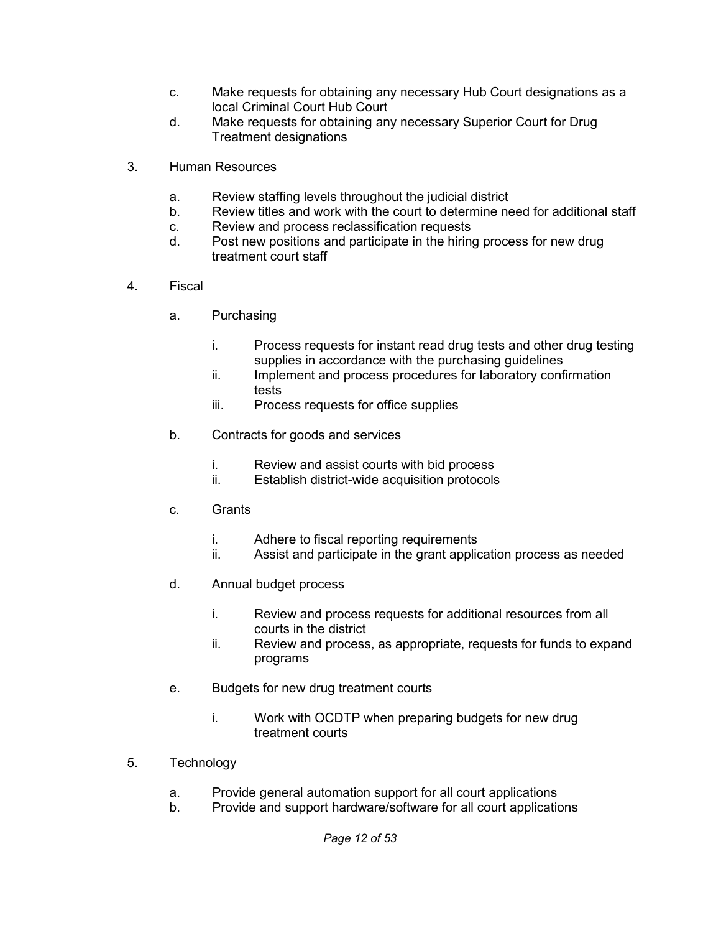- C. local Criminal Court Hub Court Make requests for obtaining any necessary Hub Court designations as a
- $\mathsf{d}$ Make requests for obtaining any necessary Superior Court for Drug
- Treatment designations<br>3. Human Resources  $3.$ 
	- Review staffing levels throughout the judicial district a.
	- Review titles and work with the court to determine need for additional staff b. a. Review staffing levels throughout the judicial district<br>
	b. Review titles and work with the court to determine need for additional<br>
	c. Review and process reclassification requests<br>
	d. Post new positions and participate
	- Review and process reclassification requests c.
	- $d_{-}$ treatment court staff
- $4.$ **Fiscal** 
	- a. Purchasing
		- Process requests for instant read drug tests and other drug testing supplies in accordance with the purchasing guidelines i.
		- Implement and process procedures for laboratory confirmation ii. tests
		- Process requests for office supplies iii.
	- b. Contracts for goods and services
		- Review and assist courts with bid process i.
		- ii. ii. Review and assist courts with bid process Establish district-wide acquisition protocols
	- c. Grants
		- Adhere to fiscal reporting requirements i.
		- ii i. Adhere to fiscal reporting requirements<br>ii. Assist and participate in the grant application process as needed
	- d. Annual budget process
		- Review and process requests for additional resources from all courts in the district i.
		- Review and process, as appropriate, requests for funds to expand programs ii.
	- programs<br>e. Budgets for new drug treatment courts
		- i. treatment courts Work with OCDTP when preparing budgets for new drug
- $5.$ **Technology** 
	- a. Provide general automation support for all court applications
	- b. Provide and support hardware/software for all court applications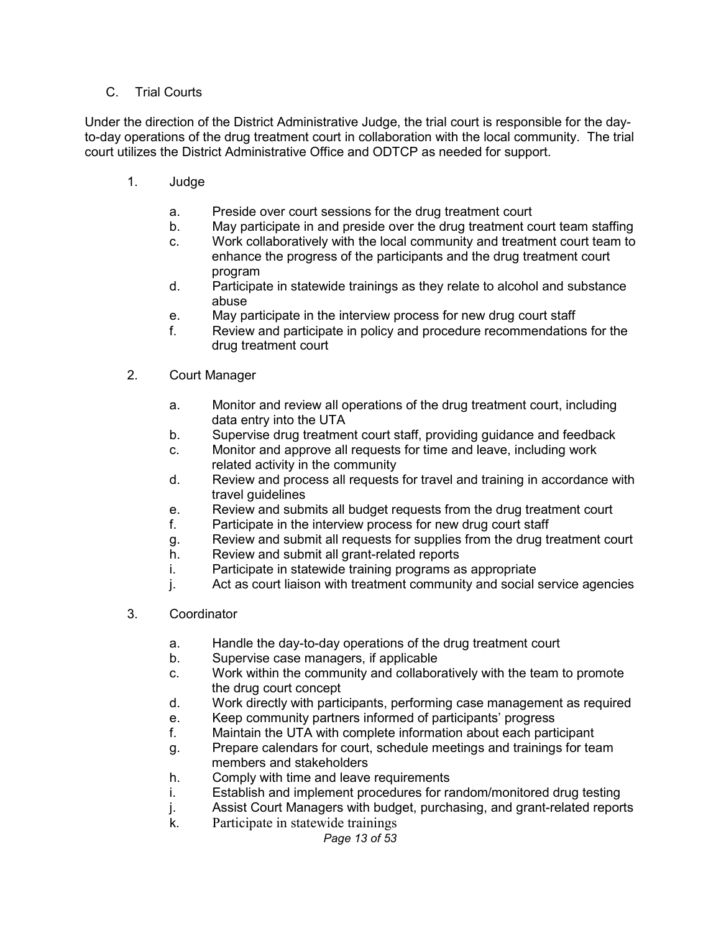#### C. Trial Courts

 Under the direction of the District Administrative Judge, the trial court is responsible for the day- to-day operations of the drug treatment court in collaboration with the local community. The trial court utilizes the District Administrative Office and ODTCP as needed for support.

- $1.$ 1. Judge
	- a. Preside over court sessions for the drug treatment court
	- $b<sub>1</sub>$ May participate in and preside over the drug treatment court team staffing
	- C. enhance the progress of the participants and the drug treatment court Work collaboratively with the local community and treatment court team to program
	- d. Participate in statewide trainings as they relate to alcohol and substance abuse
	- e. May participate in the interview process for new drug court staff
	- f. Review and participate in policy and procedure recommendations for the drug treatment court
- $2.$ Court Manager
	- a. Monitor and review all operations of the drug treatment court, including data entry into the UTA
	- b. Supervise drug treatment court staff, providing guidance and feedback
	- c. Monitor and approve all requests for time and leave, including work related activity in the community
	- d. Review and process all requests for travel and training in accordance with travel guidelines
	- e. Review and submits all budget requests from the drug treatment court
	- f. Participate in the interview process for new drug court staff
	- g. Review and submit all requests for supplies from the drug treatment court
	- h. Review and submit all grant-related reports
	- i. Participate in statewide training programs as appropriate
	- j. Act as court liaison with treatment community and social service agencies
- $3_{-}$ **Coordinator** 
	- a. Handle the day-to-day operations of the drug treatment court
	- b. Supervise case managers, if applicable
	- $C<sub>1</sub>$  the drug court concept Work within the community and collaboratively with the team to promote
	- $d_{-}$ Work directly with participants, performing case management as required
	- e. e. Keep community partners informed of participants' progress<br>f. Maintain the UTA with complete information about each part
	- f. Maintain the UTA with complete information about each participant
	- g. Prepare calendars for court, schedule meetings and trainings for team members and stakeholders
	- h. Comply with time and leave requirements
	- i. Establish and implement procedures for random/monitored drug testing
	- j. Assist Court Managers with budget, purchasing, and grant-related reports
	- k. Participate in statewide trainings

#### *Page 13 of 53*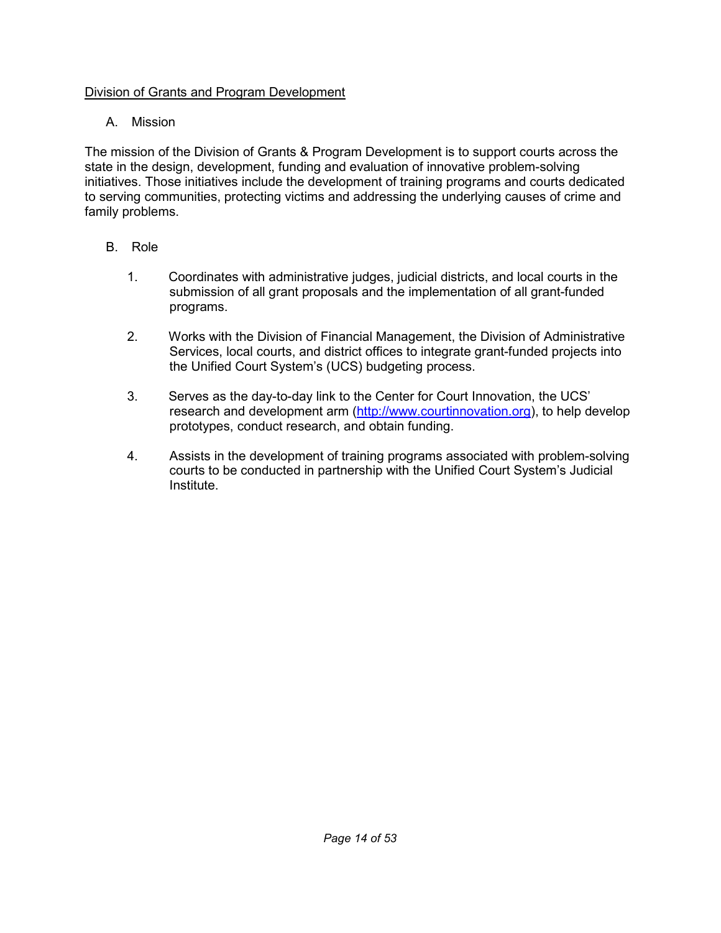#### Division of Grants and Program Development

### A. Mission

 The mission of the Division of Grants & Program Development is to support courts across the state in the design, development, funding and evaluation of innovative problem-solving initiatives. Those initiatives include the development of training programs and courts dedicated to serving communities, protecting victims and addressing the underlying causes of crime and family problems.

- B. Role
	- 1. Coordinates with administrative judges, judicial districts, and local courts in the submission of all grant proposals and the implementation of all grant-funded programs.
	- $2.$  Services, local courts, and district offices to integrate grant-funded projects into the Unified Court System's (UCS) budgeting process. 2. Works with the Division of Financial Management, the Division of Administrative
	- 3. Serves as the day-to-day link to the Center for Court Innovation, the UCS' research and development arm [\(http://www.courtinnovation.org\)](http://www.courtinnovation.org), to help develop prototypes, conduct research, and obtain funding.
	- 4. Assists in the development of training programs associated with problem-solving courts to be conducted in partnership with the Unified Court System's Judicial Institute.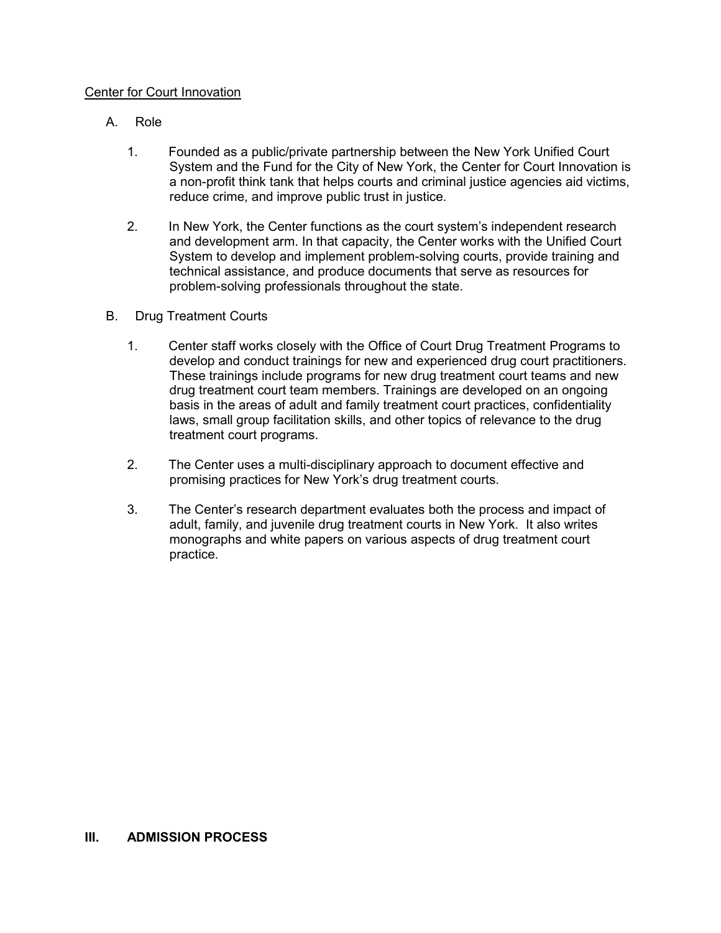#### Center for Court Innovation

- А. Role
	- 1. Founded as a public/private partnership between the New York Unified Court System and the Fund for the City of New York, the Center for Court Innovation is a non-profit think tank that helps courts and criminal justice agencies aid victims, reduce crime, and improve public trust in justice.
	- $2.$  and development arm. In that capacity, the Center works with the Unified Court System to develop and implement problem-solving courts, provide training and technical assistance, and produce documents that serve as resources for problem-solving professionals throughout the state. In New York, the Center functions as the court system's independent research
- В. **Drug Treatment Courts** 
	- 1. Center staff works closely with the Office of Court Drug Treatment Programs to develop and conduct trainings for new and experienced drug court practitioners. These trainings include programs for new drug treatment court teams and new drug treatment court team members. Trainings are developed on an ongoing basis in the areas of adult and family treatment court practices, confidentiality laws, small group facilitation skills, and other topics of relevance to the drug treatment court programs.
	- $2.$  promising practices for New York's drug treatment courts. The Center uses a multi-disciplinary approach to document effective and
	- $3.$  adult, family, and juvenile drug treatment courts in New York. It also writes monographs and white papers on various aspects of drug treatment court practice. The Center's research department evaluates both the process and impact of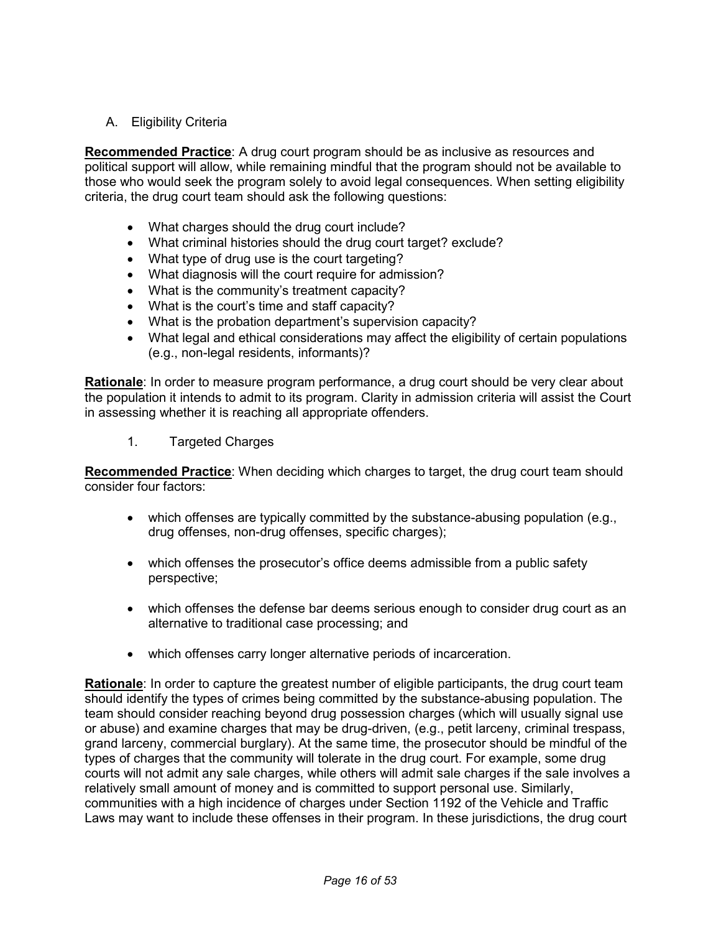A. Eligibility Criteria

 **Recommended Practice**: A drug court program should be as inclusive as resources and political support will allow, while remaining mindful that the program should not be available to those who would seek the program solely to avoid legal consequences. When setting eligibility criteria, the drug court team should ask the following questions:

- What charges should the drug court include?
- What criminal histories should the drug court target? exclude?
- What type of drug use is the court targeting?
- What diagnosis will the court require for admission?
- What is the community's treatment capacity?
- What is the court's time and staff capacity?
- What is the probation department's supervision capacity?
- • What legal and ethical considerations may affect the eligibility of certain populations (e.g., non-legal residents, informants)?

 **Rationale**: In order to measure program performance, a drug court should be very clear about the population it intends to admit to its program. Clarity in admission criteria will assist the Court in assessing whether it is reaching all appropriate offenders.

1. Targeted Charges

 **Recommended Practice**: When deciding which charges to target, the drug court team should consider four factors:

- • which offenses are typically committed by the substance-abusing population (e.g., drug offenses, non-drug offenses, specific charges);
- • which offenses the prosecutor's office deems admissible from a public safety perspective;
- • which offenses the defense bar deems serious enough to consider drug court as an alternative to traditional case processing; and
- which offenses carry longer alternative periods of incarceration.

 **Rationale**: In order to capture the greatest number of eligible participants, the drug court team should identify the types of crimes being committed by the substance-abusing population. The team should consider reaching beyond drug possession charges (which will usually signal use or abuse) and examine charges that may be drug-driven, (e.g., petit larceny, criminal trespass, grand larceny, commercial burglary). At the same time, the prosecutor should be mindful of the types of charges that the community will tolerate in the drug court. For example, some drug courts will not admit any sale charges, while others will admit sale charges if the sale involves a relatively small amount of money and is committed to support personal use. Similarly, communities with a high incidence of charges under Section 1192 of the Vehicle and Traffic Laws may want to include these offenses in their program. In these jurisdictions, the drug court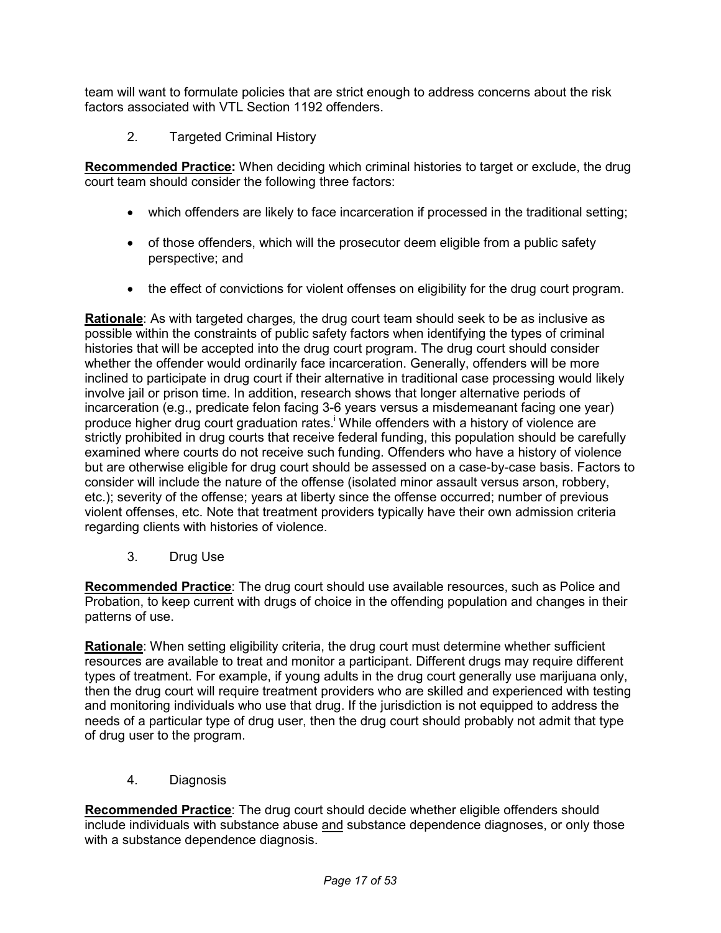team will want to formulate policies that are strict enough to address concerns about the risk factors associated with VTL Section 1192 offenders.

2. Targeted Criminal History

 **Recommended Practice:** When deciding which criminal histories to target or exclude, the drug court team should consider the following three factors:

- which offenders are likely to face incarceration if processed in the traditional setting;
- • of those offenders, which will the prosecutor deem eligible from a public safety perspective; and
- the effect of convictions for violent offenses on eligibility for the drug court program.

 **Rationale**: As with targeted charges*,* the drug court team should seek to be as inclusive as possible within the constraints of public safety factors when identifying the types of criminal histories that will be accepted into the drug court program. The drug court should consider whether the offender would ordinarily face incarceration. Generally, offenders will be more inclined to participate in drug court if their alternative in traditional case processing would likely involve jail or prison time. In addition, research shows that longer alternative periods of incarceration (e.g., predicate felon facing 3-6 years versus a misdemeanant facing one year) produce higher drug court graduation rates.<sup>i</sup> While offenders with a history of violence are strictly prohibited in drug courts that receive federal funding, this population should be carefully examined where courts do not receive such funding. Offenders who have a history of violence but are otherwise eligible for drug court should be assessed on a case-by-case basis. Factors to consider will include the nature of the offense (isolated minor assault versus arson, robbery, etc.); severity of the offense; years at liberty since the offense occurred; number of previous violent offenses, etc. Note that treatment providers typically have their own admission criteria regarding clients with histories of violence.

 $3<sub>1</sub>$ Drug Use

 **Recommended Practice**: The drug court should use available resources, such as Police and Probation, to keep current with drugs of choice in the offending population and changes in their patterns of use.

 **Rationale**: When setting eligibility criteria, the drug court must determine whether sufficient resources are available to treat and monitor a participant. Different drugs may require different types of treatment. For example, if young adults in the drug court generally use marijuana only, then the drug court will require treatment providers who are skilled and experienced with testing and monitoring individuals who use that drug. If the jurisdiction is not equipped to address the needs of a particular type of drug user, then the drug court should probably not admit that type of drug user to the program.

4. Diagnosis

 **Recommended Practice**: The drug court should decide whether eligible offenders should include individuals with substance abuse and substance dependence diagnoses, or only those with a substance dependence diagnosis.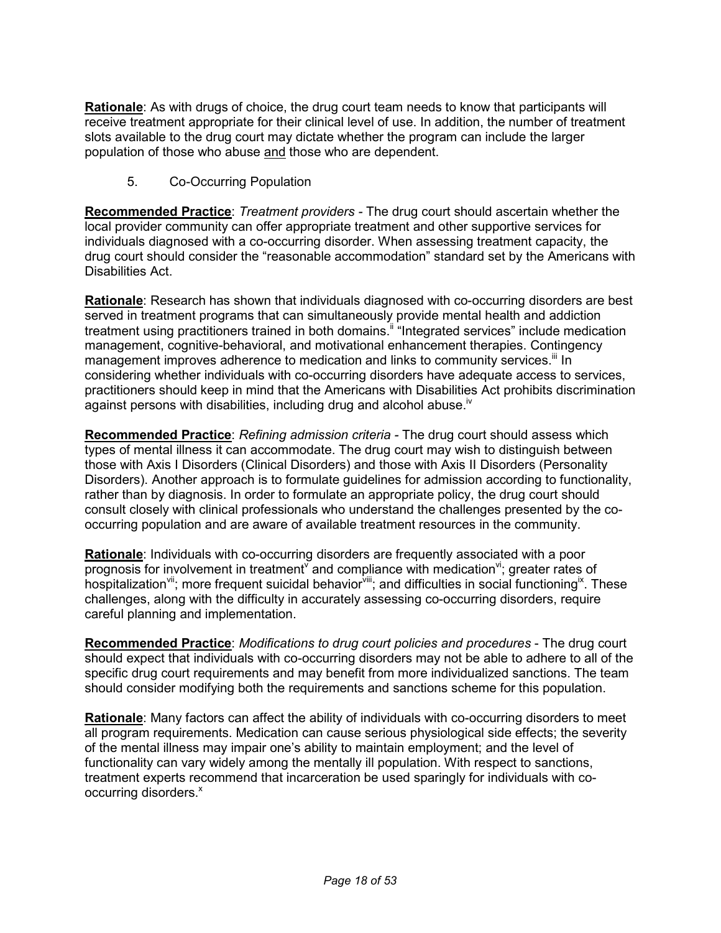**Rationale**: As with drugs of choice, the drug court team needs to know that participants will receive treatment appropriate for their clinical level of use. In addition, the number of treatment slots available to the drug court may dictate whether the program can include the larger population of those who abuse and those who are dependent.

5. Co-Occurring Population

 **Recommended Practice**: *Treatment providers -* The drug court should ascertain whether the local provider community can offer appropriate treatment and other supportive services for individuals diagnosed with a co-occurring disorder. When assessing treatment capacity, the drug court should consider the "reasonable accommodation" standard set by the Americans with Disabilities Act.

 **Rationale**: Research has shown that individuals diagnosed with co-occurring disorders are best served in treatment programs that can simultaneously provide mental health and addiction treatment using practitioners trained in both [domains.](https://domains.ii)<sup>ii</sup> "Integrated services" include medication management, cognitive-behavioral, and motivational enhancement therapies. Contingency management improves adherence to medication and links to community services.<sup>iii</sup> In considering whether individuals with co-occurring disorders have adequate access to services, practitioners should keep in mind that the Americans with Disabilities Act prohibits discrimination against persons with disabilities, including drug and alcohol abuse.<sup>iv</sup>

**Recommended Practice**: *Refining admission criteria -* The drug court should assess which types of mental illness it can accommodate. The drug court may wish to distinguish between those with Axis I Disorders (Clinical Disorders) and those with Axis II Disorders (Personality Disorders). Another approach is to formulate guidelines for admission according to functionality, rather than by diagnosis. In order to formulate an appropriate policy, the drug court should consult closely with clinical professionals who understand the challenges presented by the co-occurring population and are aware of available treatment resources in the community.

**Rationale:** Individuals with co-occurring disorders are frequently associated with a poor **<u>Rationale</u>**: Individuals with co-occurring disorders are frequently associated with a poor<br>prognosis for involvement in treatment<sup>v</sup> and compliance with medication<sup>vi</sup>; greater rates of hospitalization  $x$ <sup>ii</sup>; more frequent suicidal behavior  $x$ <sup>iii</sup>; and difficulties in social functioning<sup>ix</sup>. These challenges, along with the difficulty in accurately assessing co-occurring disorders, require careful planning and implementation.

 **Recommended Practice**: *Modifications to drug court policies and procedures* - The drug court should expect that individuals with co-occurring disorders may not be able to adhere to all of the specific drug court requirements and may benefit from more individualized sanctions. The team should consider modifying both the requirements and sanctions scheme for this population.

 **Rationale**: Many factors can affect the ability of individuals with co-occurring disorders to meet all program requirements. Medication can cause serious physiological side effects; the severity of the mental illness may impair one's ability to maintain employment; and the level of functionality can vary widely among the mentally ill population. With respect to sanctions, treatment experts recommend that incarceration be used sparingly for individuals with cooccurring disorders.<sup>x</sup>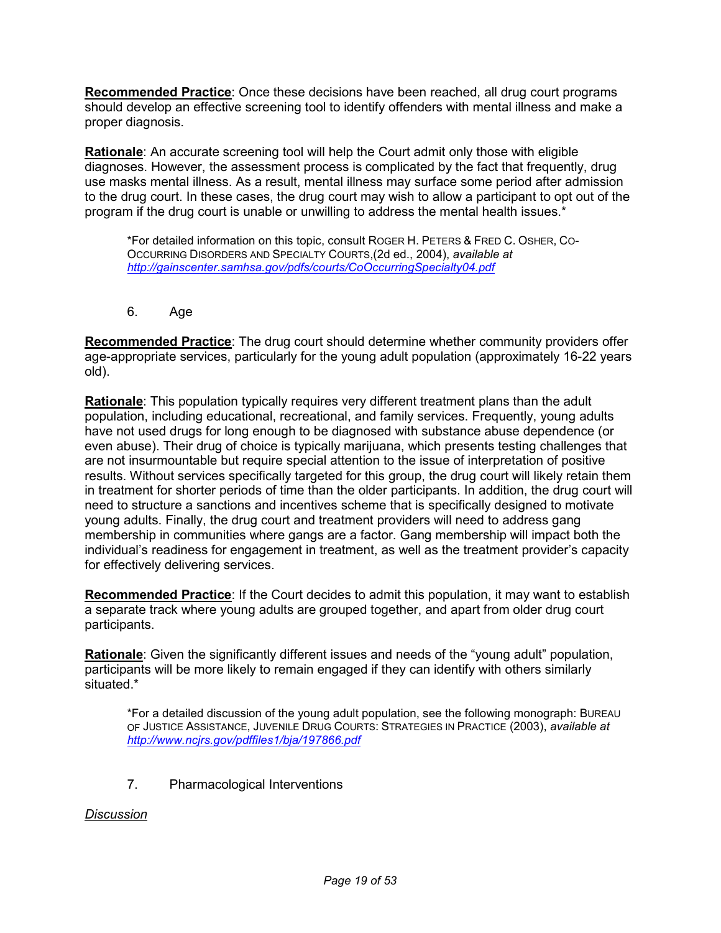**Recommended Practice**: Once these decisions have been reached, all drug court programs should develop an effective screening tool to identify offenders with mental illness and make a proper diagnosis.

 **Rationale**: An accurate screening tool will help the Court admit only those with eligible diagnoses. However, the assessment process is complicated by the fact that frequently, drug use masks mental illness. As a result, mental illness may surface some period after admission to the drug court. In these cases, the drug court may wish to allow a participant to opt out of the program if the drug court is unable or unwilling to address the mental health issues.\*

 \*For detailed information on this topic, consult ROGER H. PETERS & FRED C. OSHER, CO- OCCURRING DISORDERS AND SPECIALTY COURTS,(2d ed., 2004), *available at <http://gainscenter.samhsa.gov/pdfs/courts/CoOccurringSpecialty04.pdf>* 

6. Age

 **Recommended Practice**: The drug court should determine whether community providers offer age-appropriate services, particularly for the young adult population (approximately 16-22 years old).

 **Rationale**: This population typically requires very different treatment plans than the adult population, including educational, recreational, and family services. Frequently, young adults have not used drugs for long enough to be diagnosed with substance abuse dependence (or even abuse). Their drug of choice is typically marijuana, which presents testing challenges that are not insurmountable but require special attention to the issue of interpretation of positive results. Without services specifically targeted for this group, the drug court will likely retain them in treatment for shorter periods of time than the older participants. In addition, the drug court will need to structure a sanctions and incentives scheme that is specifically designed to motivate young adults. Finally, the drug court and treatment providers will need to address gang membership in communities where gangs are a factor. Gang membership will impact both the individual's readiness for engagement in treatment, as well as the treatment provider's capacity for effectively delivering services.

 **Recommended Practice**: If the Court decides to admit this population, it may want to establish a separate track where young adults are grouped together, and apart from older drug court participants.

 **Rationale**: Given the significantly different issues and needs of the "young adult" population, participants will be more likely to remain engaged if they can identify with others similarly situated.\*

 \*For a detailed discussion of the young adult population, see the following monograph: BUREAU OF JUSTICE ASSISTANCE, JUVENILE DRUG COURTS: STRATEGIES IN PRACTICE (2003), *available at <http://www.ncjrs.gov/pdffiles1/bja/197866.pdf>* 

7. Pharmacological Interventions

#### *Discussion*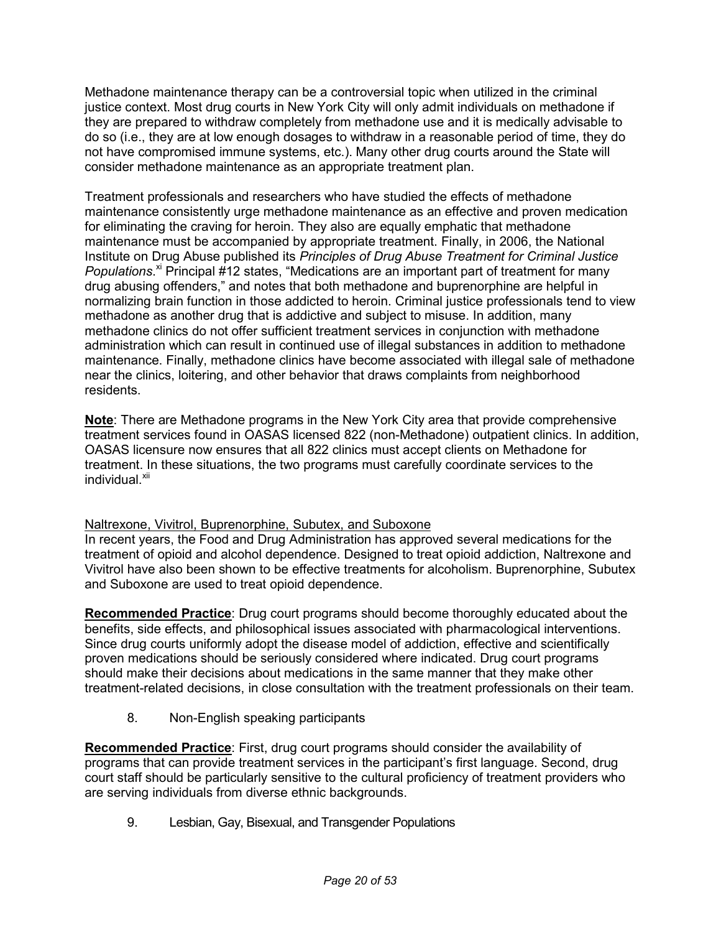Methadone maintenance therapy can be a controversial topic when utilized in the criminal justice context. Most drug courts in New York City will only admit individuals on methadone if they are prepared to withdraw completely from methadone use and it is medically advisable to do so (i.e., they are at low enough dosages to withdraw in a reasonable period of time, they do not have compromised immune systems, etc.). Many other drug courts around the State will consider methadone maintenance as an appropriate treatment plan.

 Treatment professionals and researchers who have studied the effects of methadone maintenance consistently urge methadone maintenance as an effective and proven medication for eliminating the craving for heroin. They also are equally emphatic that methadone maintenance must be accompanied by appropriate treatment. Finally, in 2006, the National Institute on Drug Abuse published its *Principles of Drug Abuse Treatment for Criminal Justice*  [Populations](https://Populations.xi).<sup>xi</sup> Principal #12 states, "Medications are an important part of treatment for many drug abusing offenders," and notes that both methadone and buprenorphine are helpful in normalizing brain function in those addicted to heroin. Criminal justice professionals tend to view methadone as another drug that is addictive and subject to misuse. In addition, many methadone clinics do not offer sufficient treatment services in conjunction with methadone administration which can result in continued use of illegal substances in addition to methadone maintenance. Finally, methadone clinics have become associated with illegal sale of methadone near the clinics, loitering, and other behavior that draws complaints from neighborhood residents.

 **Note**: There are Methadone programs in the New York City area that provide comprehensive treatment services found in OASAS licensed 822 (non-Methadone) outpatient clinics. In addition, OASAS licensure now ensures that all 822 clinics must accept clients on Methadone for treatment. In these situations, the two programs must carefully coordinate services to the individual.<sup>xii</sup>

#### Naltrexone, Vivitrol, Buprenorphine, Subutex, and Suboxone

 In recent years, the Food and Drug Administration has approved several medications for the treatment of opioid and alcohol dependence. Designed to treat opioid addiction, Naltrexone and Vivitrol have also been shown to be effective treatments for alcoholism. Buprenorphine, Subutex and Suboxone are used to treat opioid dependence.

 **Recommended Practice**: Drug court programs should become thoroughly educated about the benefits, side effects, and philosophical issues associated with pharmacological interventions. Since drug courts uniformly adopt the disease model of addiction, effective and scientifically proven medications should be seriously considered where indicated. Drug court programs should make their decisions about medications in the same manner that they make other treatment-related decisions, in close consultation with the treatment professionals on their team.

8. Non-English speaking participants

 **Recommended Practice**: First, drug court programs should consider the availability of programs that can provide treatment services in the participant's first language. Second, drug court staff should be particularly sensitive to the cultural proficiency of treatment providers who are serving individuals from diverse ethnic backgrounds.

9. Lesbian, Gay, Bisexual, and Transgender Populations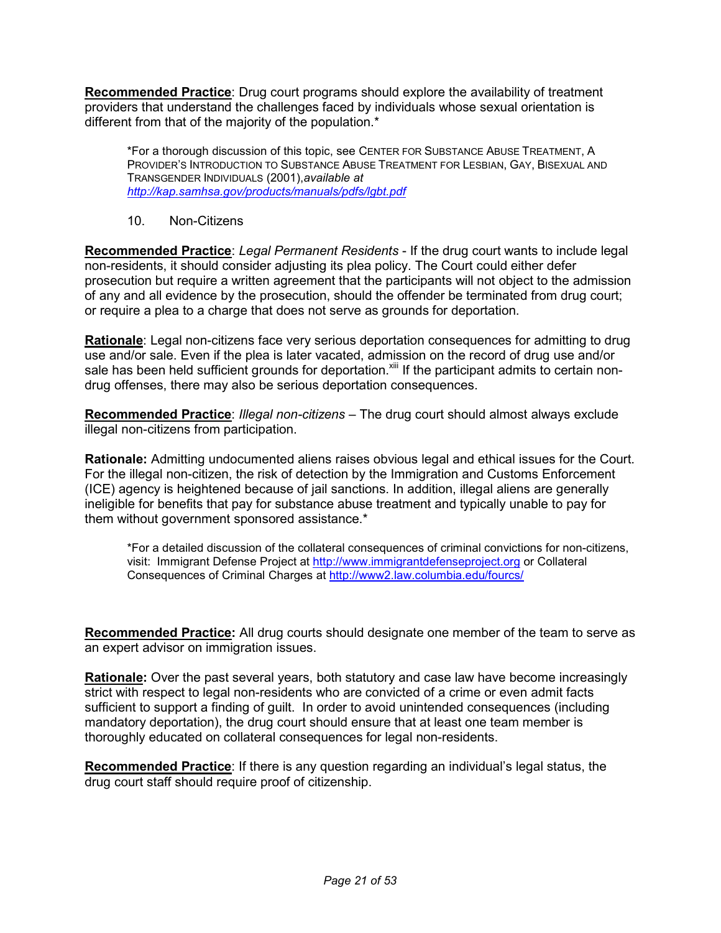**Recommended Practice**: Drug court programs should explore the availability of treatment providers that understand the challenges faced by individuals whose sexual orientation is different from that of the majority of the population.\*

 \*For a thorough discussion of this topic, see CENTER FOR SUBSTANCE ABUSE TREATMENT, A PROVIDER'S INTRODUCTION TO SUBSTANCE ABUSE TREATMENT FOR LESBIAN, GAY, BISEXUAL AND  TRANSGENDER INDIVIDUALS (2001),*available at <http://kap.samhsa.gov/products/manuals/pdfs/lgbt.pdf>*

10. Non-Citizens

 **Recommended Practice**: *Legal Permanent Residents* - If the drug court wants to include legal non-residents, it should consider adjusting its plea policy. The Court could either defer prosecution but require a written agreement that the participants will not object to the admission of any and all evidence by the prosecution, should the offender be terminated from drug court; or require a plea to a charge that does not serve as grounds for deportation.

 **Rationale**: Legal non-citizens face very serious deportation consequences for admitting to drug use and/or sale. Even if the plea is later vacated, admission on the record of drug use and/or sale has been held sufficient grounds for deportation. Xill If the participant admits to certain non-drug offenses, there may also be serious deportation consequences.

 **Recommended Practice**: *Illegal non-citizens* – The drug court should almost always exclude illegal non-citizens from participation.

 **Rationale:** Admitting undocumented aliens raises obvious legal and ethical issues for the Court. For the illegal non-citizen, the risk of detection by the Immigration and Customs Enforcement (ICE) agency is heightened because of jail sanctions. In addition, illegal aliens are generally ineligible for benefits that pay for substance abuse treatment and typically unable to pay for them without government sponsored assistance.\*

 \*For a detailed discussion of the collateral consequences of criminal convictions for non-citizens, visit: Immigrant Defense Project at <u>http://www.immigrantdefenseproject.org</u> or Collateral Consequences of Criminal Charges at <http://www2.law.columbia.edu/fourcs>/

 **Recommended Practice:** All drug courts should designate one member of the team to serve as an expert advisor on immigration issues.

 **Rationale:** Over the past several years, both statutory and case law have become increasingly strict with respect to legal non-residents who are convicted of a crime or even admit facts sufficient to support a finding of guilt. In order to avoid unintended consequences (including mandatory deportation), the drug court should ensure that at least one team member is thoroughly educated on collateral consequences for legal non-residents.

 **Recommended Practice**: If there is any question regarding an individual's legal status, the drug court staff should require proof of citizenship.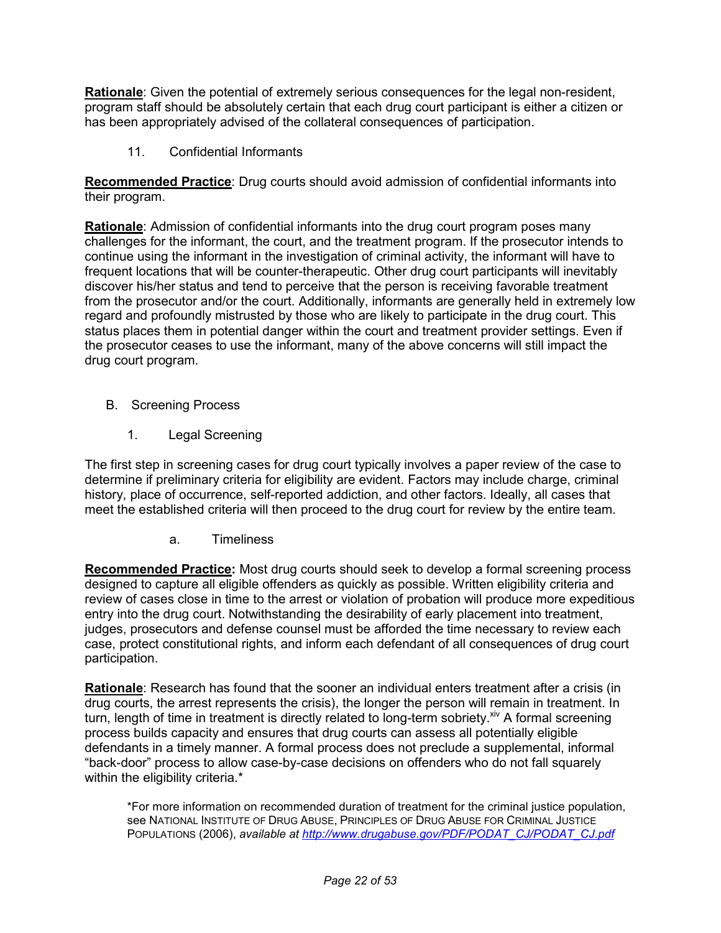**Rationale**: Given the potential of extremely serious consequences for the legal non-resident, program staff should be absolutely certain that each drug court participant is either a citizen or has been appropriately advised of the collateral consequences of participation.

11. Confidential Informants

 **Recommended Practice**: Drug courts should avoid admission of confidential informants into their program.

 **Rationale**: Admission of confidential informants into the drug court program poses many challenges for the informant, the court, and the treatment program. If the prosecutor intends to continue using the informant in the investigation of criminal activity, the informant will have to frequent locations that will be counter-therapeutic. Other drug court participants will inevitably discover his/her status and tend to perceive that the person is receiving favorable treatment from the prosecutor and/or the court. Additionally, informants are generally held in extremely low regard and profoundly mistrusted by those who are likely to participate in the drug court. This status places them in potential danger within the court and treatment provider settings. Even if the prosecutor ceases to use the informant, many of the above concerns will still impact the drug court program.

- B. Screening Process
	- $1<sup>1</sup>$ Legal Screening

 The first step in screening cases for drug court typically involves a paper review of the case to determine if preliminary criteria for eligibility are evident. Factors may include charge, criminal history, place of occurrence, self-reported addiction, and other factors. Ideally, all cases that meet the established criteria will then proceed to the drug court for review by the entire team.

a. Timeliness

 **Recommended Practice:** Most drug courts should seek to develop a formal screening process designed to capture all eligible offenders as quickly as possible. Written eligibility criteria and review of cases close in time to the arrest or violation of probation will produce more expeditious entry into the drug court. Notwithstanding the desirability of early placement into treatment, judges, prosecutors and defense counsel must be afforded the time necessary to review each case, protect constitutional rights, and inform each defendant of all consequences of drug court participation.

 **Rationale**: Research has found that the sooner an individual enters treatment after a crisis (in drug courts, the arrest represents the crisis), the longer the person will remain in treatment. In turn, length of time in treatment is directly related to long-term sobriety.<sup>xiv</sup> A formal screening process builds capacity and ensures that drug courts can assess all potentially eligible defendants in a timely manner. A formal process does not preclude a supplemental, informal "back-door" process to allow case-by-case decisions on offenders who do not fall squarely within the eligibility criteria.\*

 \*For more information on recommended duration of treatment for the criminal justice population, see NATIONAL INSTITUTE OF DRUG ABUSE, PRINCIPLES OF DRUG ABUSE FOR CRIMINAL JUSTICE POPULATIONS (2006), *available at [http://www.drugabuse.gov/PDF/PODAT\\_CJ/PODAT\\_CJ.pdf](https://availableathttp://www.drugabuse.gov/PDF/PODAT_CJ/PODAT_CJ.pdf)*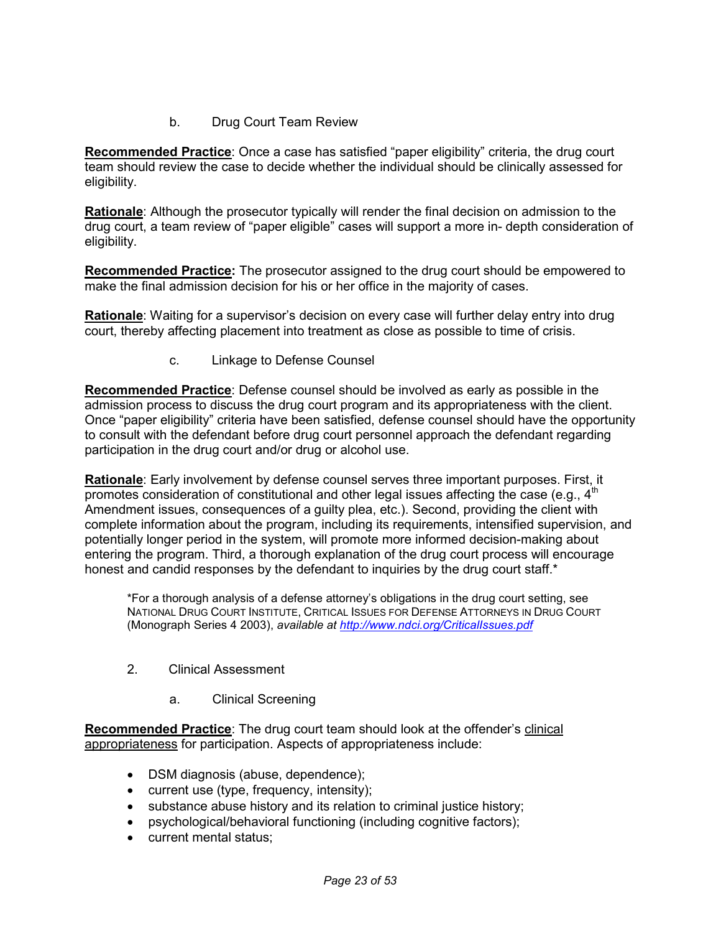#### $h$ **Drug Court Team Review**

 **Recommended Practice**: Once a case has satisfied "paper eligibility" criteria, the drug court team should review the case to decide whether the individual should be clinically assessed for eligibility.

 **Rationale**: Although the prosecutor typically will render the final decision on admission to the drug court, a team review of "paper eligible" cases will support a more in- depth consideration of eligibility.

Recommended Practice: The prosecutor assigned to the drug court should be empowered to make the final admission decision for his or her office in the majority of cases.

 **Rationale**: Waiting for a supervisor's decision on every case will further delay entry into drug court, thereby affecting placement into treatment as close as possible to time of crisis.

c. Linkage to Defense Counsel

 **Recommended Practice**: Defense counsel should be involved as early as possible in the admission process to discuss the drug court program and its appropriateness with the client. Once "paper eligibility" criteria have been satisfied, defense counsel should have the opportunity to consult with the defendant before drug court personnel approach the defendant regarding participation in the drug court and/or drug or alcohol use.

 **Rationale**: Early involvement by defense counsel serves three important purposes. First, it promotes consideration of constitutional and other legal issues affecting the case (e.g.,  $4<sup>th</sup>$  Amendment issues, consequences of a guilty plea, etc.). Second, providing the client with complete information about the program, including its requirements, intensified supervision, and potentially longer period in the system, will promote more informed decision-making about entering the program. Third, a thorough explanation of the drug court process will encourage honest and candid responses by the defendant to inquiries by the drug court staff.\*

 \*For a thorough analysis of a defense attorney's obligations in the drug court setting, see NATIONAL DRUG COURT INSTITUTE, CRITICAL ISSUES FOR DEFENSE ATTORNEYS IN DRUG COURT (Monograph Series 4 2003), *available at [http://www.ndci.org/CriticalIssues.pdf](https://availableathttp://www.ndci.org/CriticalIssues.pdf)* 

- 2. Clinical Assessment
	- a. Clinical Screening

 **Recommended Practice**: The drug court team should look at the offender's clinical appropriateness for participation. Aspects of appropriateness include:

- DSM diagnosis (abuse, dependence);
- current use (type, frequency, intensity);
- substance abuse history and its relation to criminal justice history;
- psychological/behavioral functioning (including cognitive factors);
- current mental status;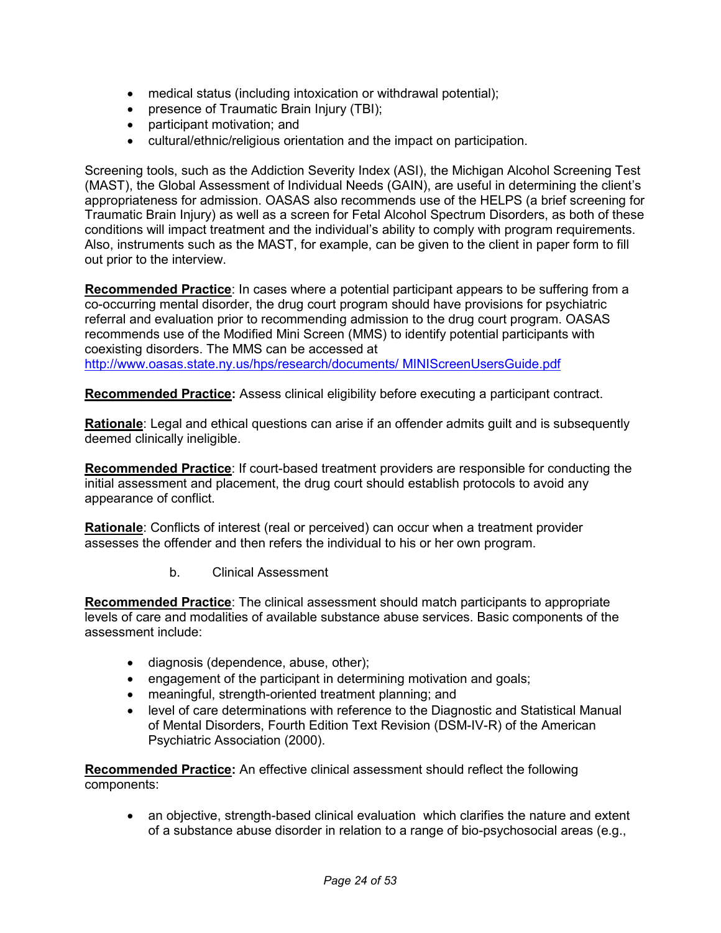- medical status (including intoxication or withdrawal potential);
- presence of Traumatic Brain Injury (TBI);
- participant motivation; and
- cultural/ethnic/religious orientation and the impact on participation.

 Screening tools, such as the Addiction Severity Index (ASI), the Michigan Alcohol Screening Test (MAST), the Global Assessment of Individual Needs (GAIN), are useful in determining the client's appropriateness for admission. OASAS also recommends use of the HELPS (a brief screening for Traumatic Brain Injury) as well as a screen for Fetal Alcohol Spectrum Disorders, as both of these conditions will impact treatment and the individual's ability to comply with program requirements. Also, instruments such as the MAST, for example, can be given to the client in paper form to fill out prior to the interview.

 **Recommended Practice**: In cases where a potential participant appears to be suffering from a co-occurring mental disorder, the drug court program should have provisions for psychiatric referral and evaluation prior to recommending admission to the drug court program. OASAS recommends use of the Modified Mini Screen (MMS) to identify potential participants with coexisting disorders. The MMS can be accessed at [http://www.oasas.state.ny.us/hps/research/documents/](http://www.oasas.state.ny.us/hps/research/documents) MINIScreenUsersGuide.pdf

 **Recommended Practice:** Assess clinical eligibility before executing a participant contract.

 **Rationale**: Legal and ethical questions can arise if an offender admits guilt and is subsequently deemed clinically ineligible.

 **Recommended Practice**: If court-based treatment providers are responsible for conducting the initial assessment and placement, the drug court should establish protocols to avoid any appearance of conflict.

 **Rationale**: Conflicts of interest (real or perceived) can occur when a treatment provider assesses the offender and then refers the individual to his or her own program.

b. Clinical Assessment

 **Recommended Practice**: The clinical assessment should match participants to appropriate levels of care and modalities of available substance abuse services. Basic components of the assessment include:

- diagnosis (dependence, abuse, other);
- engagement of the participant in determining motivation and goals;
- meaningful, strength-oriented treatment planning; and
- • level of care determinations with reference to the Diagnostic and Statistical Manual of Mental Disorders, Fourth Edition Text Revision (DSM-IV-R) of the American Psychiatric Association (2000).

Recommended Practice: An effective clinical assessment should reflect the following components:

 $\bullet$  of a substance abuse disorder in relation to a range of bio-psychosocial areas (e.g., an objective, strength-based clinical evaluation which clarifies the nature and extent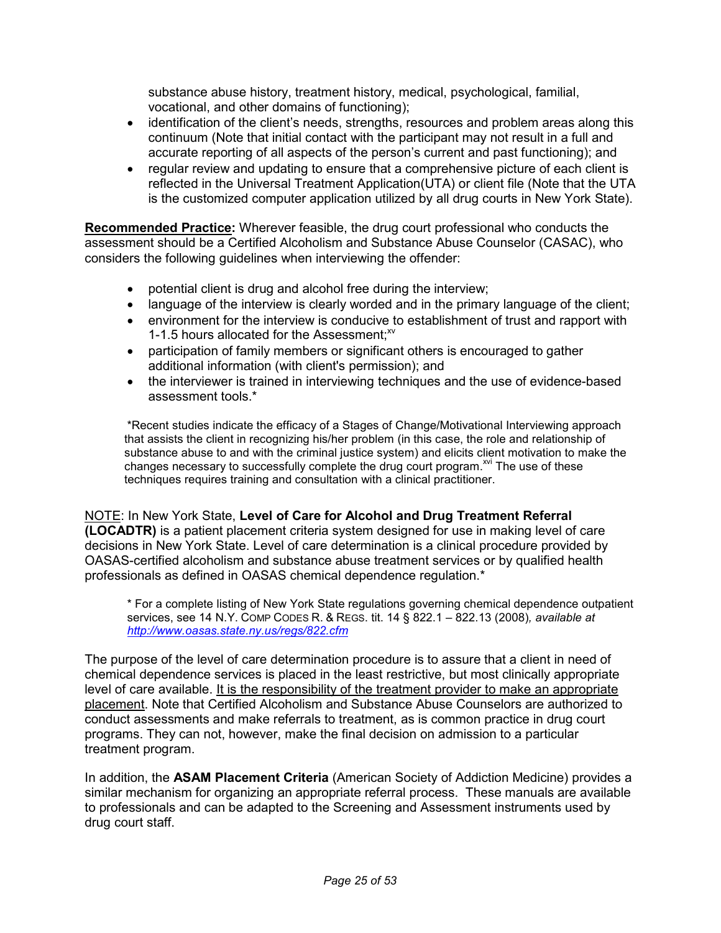substance abuse history, treatment history, medical, psychological, familial, vocational, and other domains of functioning);

- • identification of the client's needs, strengths, resources and problem areas along this continuum (Note that initial contact with the participant may not result in a full and accurate reporting of all aspects of the person's current and past functioning); and
- $\bullet$  reflected in the Universal Treatment Application(UTA) or client file (Note that the UTA is the customized computer application utilized by all drug courts in New York State). • regular review and updating to ensure that a comprehensive picture of each client is

 **Recommended Practice:** Wherever feasible, the drug court professional who conducts the assessment should be a Certified Alcoholism and Substance Abuse Counselor (CASAC), who considers the following guidelines when interviewing the offender:

- potential client is drug and alcohol free during the interview;
- language of the interview is clearly worded and in the primary language of the client;
- • environment for the interview is conducive to establishment of trust and rapport with 1-1.5 hours allocated for the Assessment;<sup>xv</sup>
- • participation of family members or significant others is encouraged to gather additional information (with client's permission); and
- $\bullet$  assessment tools.\* • the interviewer is trained in interviewing techniques and the use of evidence-based

 \*Recent studies indicate the efficacy of a Stages of Change/Motivational Interviewing approach that assists the client in recognizing his/her problem (in this case, the role and relationship of substance abuse to and with the criminal justice system) and elicits client motivation to make the changes necessary to successfully complete the drug court program.<sup>xvi</sup> The use of these techniques requires training and consultation with a clinical practitioner.

 NOTE: In New York State, **Level of Care for Alcohol and Drug Treatment Referral (LOCADTR)** is a patient placement criteria system designed for use in making level of care decisions in New York State. Level of care determination is a clinical procedure provided by OASAS-certified alcoholism and substance abuse treatment services or by qualified health professionals as defined in OASAS chemical dependence regulation.\*

 \* For a complete listing of New York State regulations governing chemical dependence outpatient services, see 14 N.Y. COMP CODES R. & REGS. tit. 14 § 822.1 – 822.13 (2008)*, available at <http://www.oasas.state.ny.us/regs/822.cfm>*

 The purpose of the level of care determination procedure is to assure that a client in need of chemical dependence services is placed in the least restrictive, but most clinically appropriate level of care available. It is the responsibility of the treatment provider to make an appropriate placement. Note that Certified Alcoholism and Substance Abuse Counselors are authorized to conduct assessments and make referrals to treatment, as is common practice in drug court programs. They can not, however, make the final decision on admission to a particular treatment program.

 In addition, the **ASAM Placement Criteria** (American Society of Addiction Medicine) provides a similar mechanism for organizing an appropriate referral process. These manuals are available to professionals and can be adapted to the Screening and Assessment instruments used by drug court staff.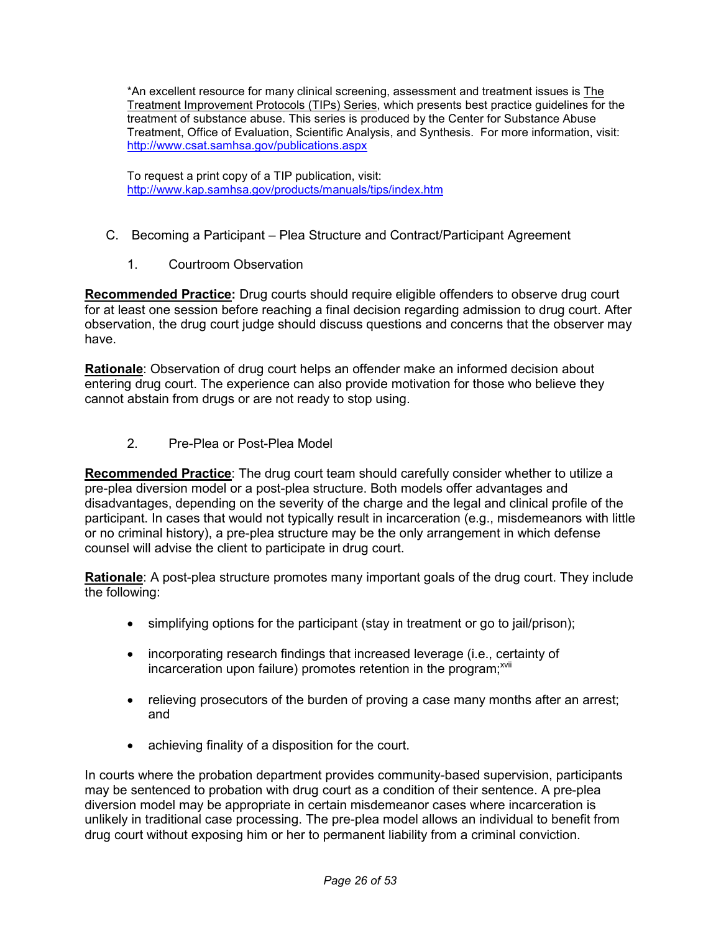\*An excellent resource for many clinical screening, assessment and treatment issues is The Treatment Improvement Protocols (TIPs) Series, which presents best practice guidelines for the treatment of substance abuse. This series is produced by the Center for Substance Abuse Treatment, Office of Evaluation, Scientific Analysis, and Synthesis. For more information, visit: <http://www.csat.samhsa.gov/publications.aspx>

 To request a print copy of a TIP publication, visit: <http://www.kap.samhsa.gov/products/manuals/tips/index.htm>

- C. Becoming a Participant Plea Structure and Contract/Participant Agreement
	- 1. Courtroom Observation

Recommended Practice: Drug courts should require eligible offenders to observe drug court for at least one session before reaching a final decision regarding admission to drug court. After observation, the drug court judge should discuss questions and concerns that the observer may have.

 **Rationale**: Observation of drug court helps an offender make an informed decision about entering drug court. The experience can also provide motivation for those who believe they cannot abstain from drugs or are not ready to stop using.

2. Pre-Plea or Post-Plea Model

 **Recommended Practice**: The drug court team should carefully consider whether to utilize a pre-plea diversion model or a post-plea structure. Both models offer advantages and disadvantages, depending on the severity of the charge and the legal and clinical profile of the participant. In cases that would not typically result in incarceration (e.g., misdemeanors with little or no criminal history), a pre-plea structure may be the only arrangement in which defense counsel will advise the client to participate in drug court.

 **Rationale**: A post-plea structure promotes many important goals of the drug court. They include the following:

- simplifying options for the participant (stay in treatment or go to jail/prison);
- • incorporating research findings that increased leverage (i.e., certainty of incarceration upon failure) promotes retention in the program;<sup>xvii</sup>
- • relieving prosecutors of the burden of proving a case many months after an arrest; and
- achieving finality of a disposition for the court.

 In courts where the probation department provides community-based supervision, participants may be sentenced to probation with drug court as a condition of their sentence. A pre-plea diversion model may be appropriate in certain misdemeanor cases where incarceration is unlikely in traditional case processing. The pre-plea model allows an individual to benefit from drug court without exposing him or her to permanent liability from a criminal conviction.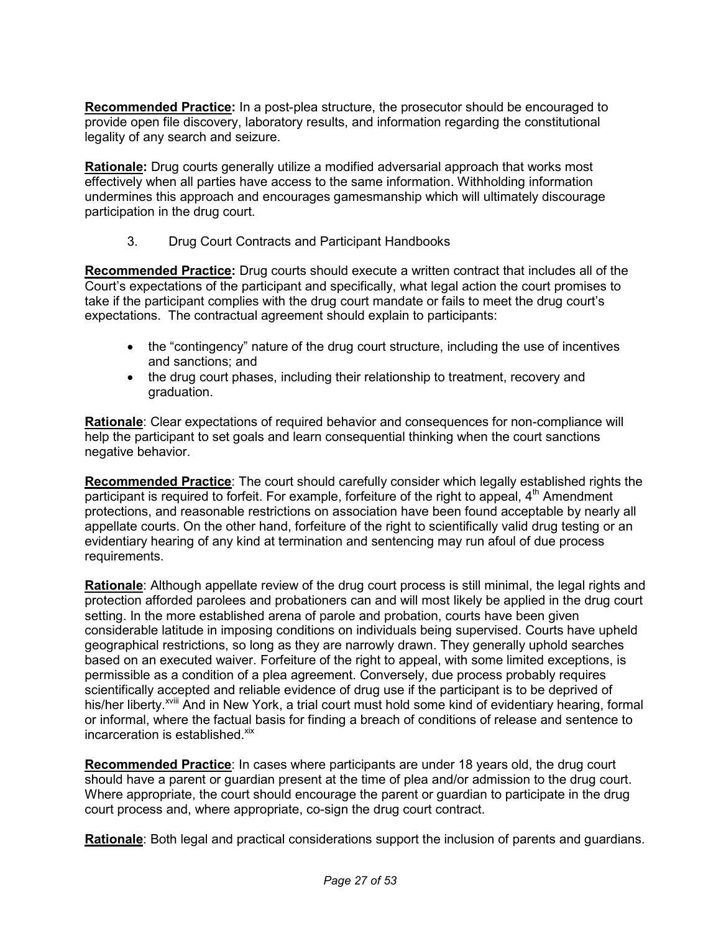**Recommended Practice:** In a post-plea structure, the prosecutor should be encouraged to provide open file discovery, laboratory results, and information regarding the constitutional legality of any search and seizure.

 **Rationale:** Drug courts generally utilize a modified adversarial approach that works most effectively when all parties have access to the same information. Withholding information undermines this approach and encourages gamesmanship which will ultimately discourage participation in the drug court.

 $3.$ 3. Drug Court Contracts and Participant Handbooks

 **Recommended Practice:** Drug courts should execute a written contract that includes all of the Court's expectations of the participant and specifically, what legal action the court promises to take if the participant complies with the drug court mandate or fails to meet the drug court's expectations. The contractual agreement should explain to participants:

- • the "contingency" nature of the drug court structure, including the use of incentives and sanctions; and
- • the drug court phases, including their relationship to treatment, recovery and graduation.

 **Rationale**: Clear expectations of required behavior and consequences for non-compliance will help the participant to set goals and learn consequential thinking when the court sanctions  negative behavior.

 **Recommended Practice**: The court should carefully consider which legally established rights the participant is required to forfeit. For example, forfeiture of the right to appeal, 4<sup>th</sup> Amendment protections, and reasonable restrictions on association have been found acceptable by nearly all appellate courts. On the other hand, forfeiture of the right to scientifically valid drug testing or an evidentiary hearing of any kind at termination and sentencing may run afoul of due process requirements.

 **Rationale**: Although appellate review of the drug court process is still minimal, the legal rights and protection afforded parolees and probationers can and will most likely be applied in the drug court setting. In the more established arena of parole and probation, courts have been given considerable latitude in imposing conditions on individuals being supervised. Courts have upheld geographical restrictions, so long as they are narrowly drawn. They generally uphold searches based on an executed waiver. Forfeiture of the right to appeal, with some limited exceptions, is permissible as a condition of a plea agreement. Conversely, due process probably requires scientifically accepted and reliable evidence of drug use if the participant is to be deprived of his/her liberty.<sup>xviii</sup> And in New York, a trial court must hold some kind of evidentiary hearing, formal or informal, where the factual basis for finding a breach of conditions of release and sentence to incarceration is established.<sup>xix</sup>

 **Recommended Practice**: In cases where participants are under 18 years old, the drug court should have a parent or guardian present at the time of plea and/or admission to the drug court. Where appropriate, the court should encourage the parent or guardian to participate in the drug court process and, where appropriate, co-sign the drug court contract.

**Rationale**: Both legal and practical considerations support the inclusion of parents and guardians.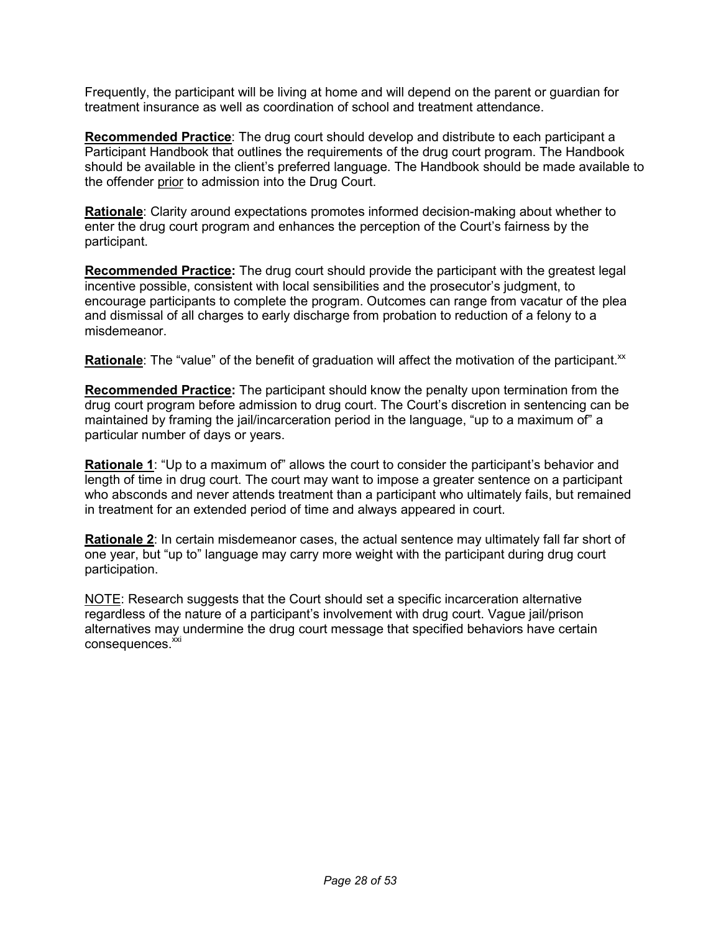Frequently, the participant will be living at home and will depend on the parent or guardian for treatment insurance as well as coordination of school and treatment attendance.

 **Recommended Practice**: The drug court should develop and distribute to each participant a Participant Handbook that outlines the requirements of the drug court program. The Handbook should be available in the client's preferred language. The Handbook should be made available to the offender <u>prior</u> to admission into the Drug Court.

 **Rationale**: Clarity around expectations promotes informed decision-making about whether to enter the drug court program and enhances the perception of the Court's fairness by the participant.

 **Recommended Practice:** The drug court should provide the participant with the greatest legal incentive possible, consistent with local sensibilities and the prosecutor's judgment, to encourage participants to complete the program. Outcomes can range from vacatur of the plea and dismissal of all charges to early discharge from probation to reduction of a felony to a misdemeanor.

Rationale: The "value" of the benefit of graduation will affect the motivation of the participant.<sup>xx</sup>

 **Recommended Practice:** The participant should know the penalty upon termination from the drug court program before admission to drug court. The Court's discretion in sentencing can be maintained by framing the jail/incarceration period in the language, "up to a maximum of" a particular number of days or years.

 **Rationale 1**: "Up to a maximum of" allows the court to consider the participant's behavior and length of time in drug court. The court may want to impose a greater sentence on a participant who absconds and never attends treatment than a participant who ultimately fails, but remained in treatment for an extended period of time and always appeared in court.

 **Rationale 2**: In certain misdemeanor cases, the actual sentence may ultimately fall far short of one year, but "up to" language may carry more weight with the participant during drug court participation.

NOTE: Research suggests that the Court should set a specific incarceration alternative regardless of the nature of a participant's involvement with drug court. Vague jail/prison alternatives may undermine the drug court message that specified behaviors have certain consequences.<sup>xxi</sup>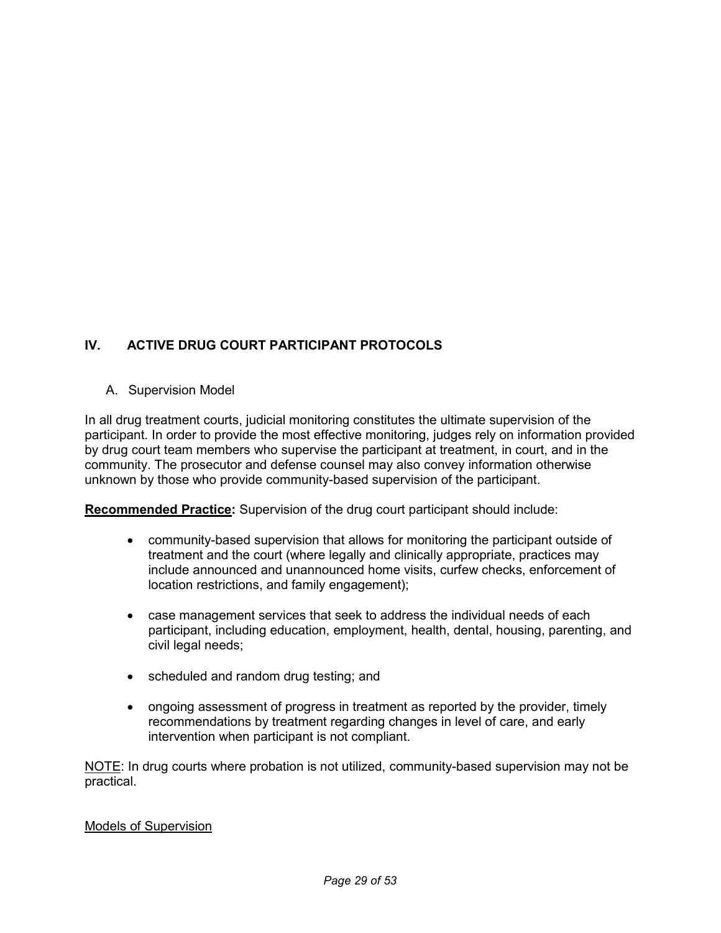### **IV. ACTIVE DRUG COURT PARTICIPANT PROTOCOLS**

A. Supervision Model

 In all drug treatment courts, judicial monitoring constitutes the ultimate supervision of the participant. In order to provide the most effective monitoring, judges rely on information provided by drug court team members who supervise the participant at treatment, in court, and in the community. The prosecutor and defense counsel may also convey information otherwise unknown by those who provide community-based supervision of the participant.

 **Recommended Practice:** Supervision of the drug court participant should include:

- • community-based supervision that allows for monitoring the participant outside of treatment and the court (where legally and clinically appropriate, practices may include announced and unannounced home visits, curfew checks, enforcement of location restrictions, and family engagement);
- • case management services that seek to address the individual needs of each participant, including education, employment, health, dental, housing, parenting, and civil legal needs;
- scheduled and random drug testing; and
- • ongoing assessment of progress in treatment as reported by the provider, timely recommendations by treatment regarding changes in level of care, and early intervention when participant is not compliant.

NOTE: In drug courts where probation is not utilized, community-based supervision may not be practical.

#### Models of Supervision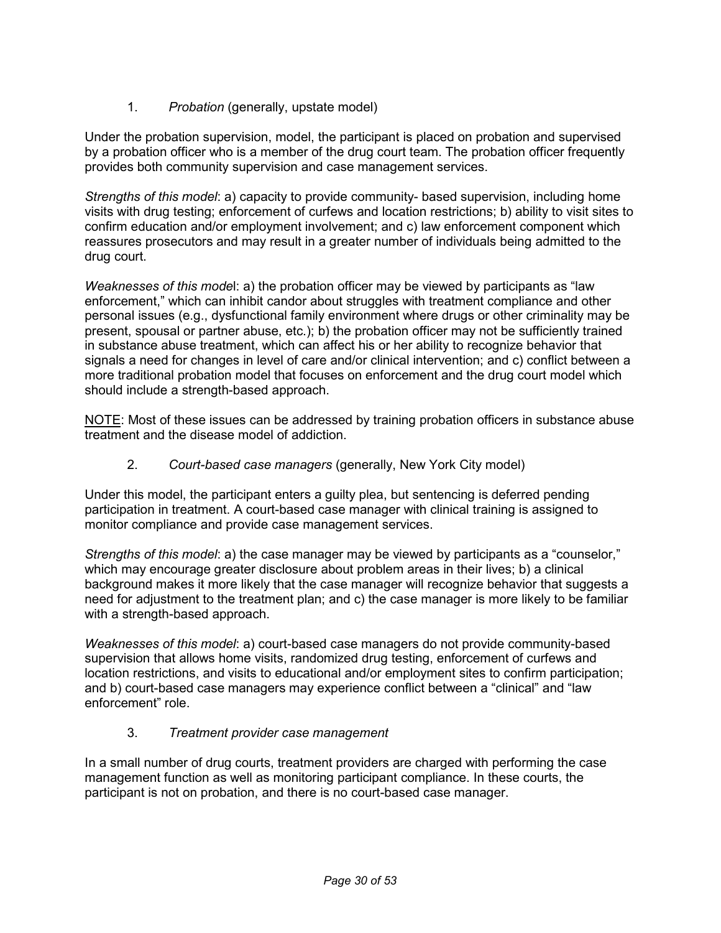1. *Probation* (generally, upstate model)

 Under the probation supervision, model, the participant is placed on probation and supervised by a probation officer who is a member of the drug court team. The probation officer frequently provides both community supervision and case management services.

 *Strengths of this model*: a) capacity to provide community- based supervision, including home visits with drug testing; enforcement of curfews and location restrictions; b) ability to visit sites to confirm education and/or employment involvement; and c) law enforcement component which reassures prosecutors and may result in a greater number of individuals being admitted to the drug court.

*Weaknesses of this model: a)* the probation officer may be viewed by participants as "law enforcement," which can inhibit candor about struggles with treatment compliance and other personal issues (e.g., dysfunctional family environment where drugs or other criminality may be present, spousal or partner abuse, etc.); b) the probation officer may not be sufficiently trained in substance abuse treatment, which can affect his or her ability to recognize behavior that signals a need for changes in level of care and/or clinical intervention; and c) conflict between a more traditional probation model that focuses on enforcement and the drug court model which should include a strength-based approach.

NOTE: Most of these issues can be addressed by training probation officers in substance abuse treatment and the disease model of addiction.

 2. *Court-based case managers* (generally, New York City model)

 Under this model, the participant enters a guilty plea, but sentencing is deferred pending participation in treatment. A court-based case manager with clinical training is assigned to monitor compliance and provide case management services.

 *Strengths of this model*: a) the case manager may be viewed by participants as a "counselor," which may encourage greater disclosure about problem areas in their lives; b) a clinical background makes it more likely that the case manager will recognize behavior that suggests a need for adjustment to the treatment plan; and c) the case manager is more likely to be familiar with a strength-based approach.

 *Weaknesses of this model*: a) court-based case managers do not provide community-based supervision that allows home visits, randomized drug testing, enforcement of curfews and location restrictions, and visits to educational and/or employment sites to confirm participation; and b) court-based case managers may experience conflict between a "clinical" and "law enforcement" role.

#### 3. *Treatment provider case management*

 In a small number of drug courts, treatment providers are charged with performing the case management function as well as monitoring participant compliance. In these courts, the participant is not on probation, and there is no court-based case manager.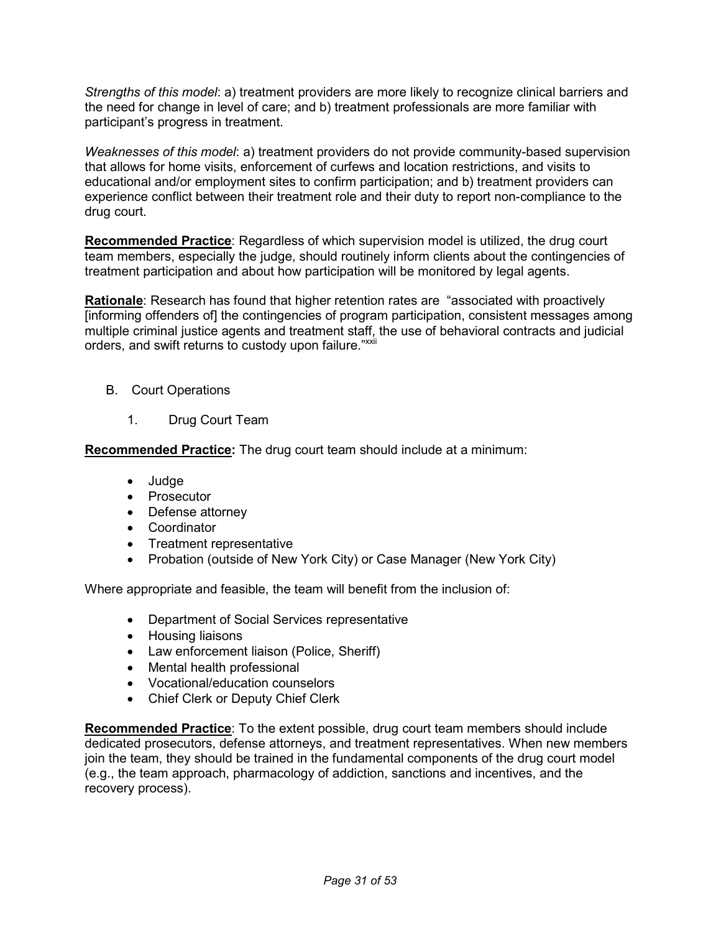*Strengths of this model*: a) treatment providers are more likely to recognize clinical barriers and the need for change in level of care; and b) treatment professionals are more familiar with participant's progress in treatment.

 *Weaknesses of this model*: a) treatment providers do not provide community-based supervision that allows for home visits, enforcement of curfews and location restrictions, and visits to educational and/or employment sites to confirm participation; and b) treatment providers can experience conflict between their treatment role and their duty to report non-compliance to the drug court.

 **Recommended Practice**: Regardless of which supervision model is utilized, the drug court team members, especially the judge, should routinely inform clients about the contingencies of treatment participation and about how participation will be monitored by legal agents.

 **Rationale**: Research has found that higher retention rates are "associated with proactively [informing offenders of] the contingencies of program participation, consistent messages among multiple criminal justice agents and treatment staff, the use of behavioral contracts and judicial orders, and swift returns to custody upon failure."<sup>xxii</sup>

- B. Court Operations
	- $1<sub>1</sub>$ Drug Court Team

 **Recommended Practice:** The drug court team should include at a minimum:

- Judge
- Prosecutor
- Defense attorney
- Coordinator
- Treatment representative
- Probation (outside of New York City) or Case Manager (New York City)

Where appropriate and feasible, the team will benefit from the inclusion of:

- Department of Social Services representative
- Housing liaisons
- Law enforcement liaison (Police, Sheriff)
- Mental health professional
- Vocational/education counselors
- Chief Clerk or Deputy Chief Clerk

 **Recommended Practice**: To the extent possible, drug court team members should include dedicated prosecutors, defense attorneys, and treatment representatives. When new members join the team, they should be trained in the fundamental components of the drug court model (e.g., the team approach, pharmacology of addiction, sanctions and incentives, and the recovery process).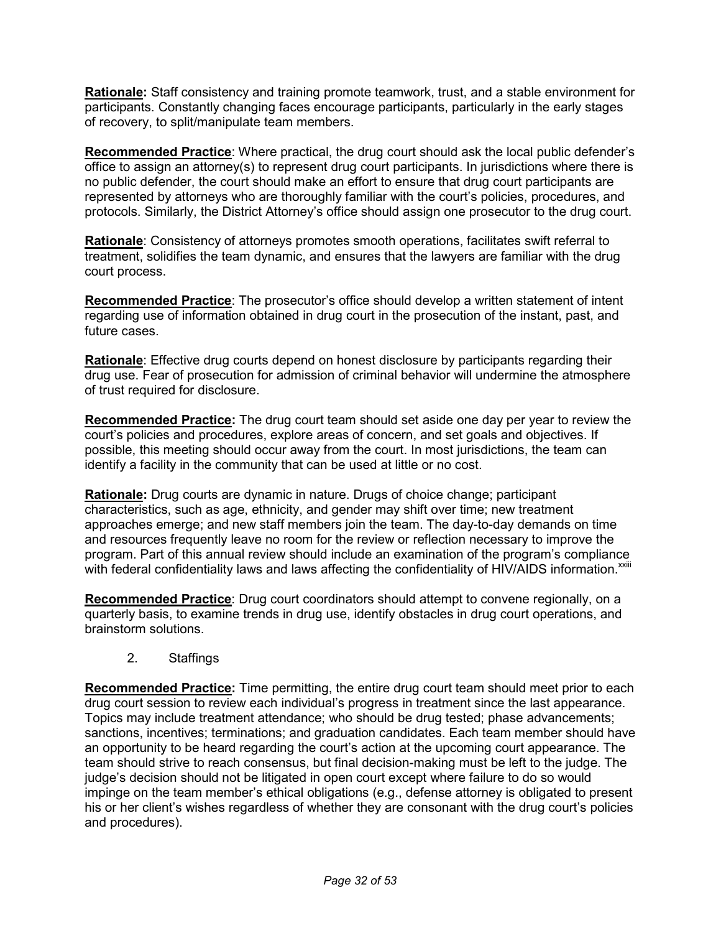**Rationale:** Staff consistency and training promote teamwork, trust, and a stable environment for participants. Constantly changing faces encourage participants, particularly in the early stages of recovery, to split/manipulate team members.

 **Recommended Practice**: Where practical, the drug court should ask the local public defender's office to assign an attorney(s) to represent drug court participants. In jurisdictions where there is no public defender, the court should make an effort to ensure that drug court participants are represented by attorneys who are thoroughly familiar with the court's policies, procedures, and protocols. Similarly, the District Attorney's office should assign one prosecutor to the drug court.

 **Rationale**: Consistency of attorneys promotes smooth operations, facilitates swift referral to treatment, solidifies the team dynamic, and ensures that the lawyers are familiar with the drug court process.

 **Recommended Practice**: The prosecutor's office should develop a written statement of intent regarding use of information obtained in drug court in the prosecution of the instant, past, and future cases.

 **Rationale**: Effective drug courts depend on honest disclosure by participants regarding their drug use. Fear of prosecution for admission of criminal behavior will undermine the atmosphere of trust required for disclosure.

 **Recommended Practice:** The drug court team should set aside one day per year to review the court's policies and procedures, explore areas of concern, and set goals and objectives. If possible, this meeting should occur away from the court. In most jurisdictions, the team can identify a facility in the community that can be used at little or no cost.

 **Rationale:** Drug courts are dynamic in nature. Drugs of choice change; participant characteristics, such as age, ethnicity, and gender may shift over time; new treatment approaches emerge; and new staff members join the team. The day-to-day demands on time and resources frequently leave no room for the review or reflection necessary to improve the program. Part of this annual review should include an examination of the program's compliance with federal confidentiality laws and laws affecting the confidentiality of HIV/AIDS information. $^{x}$ 

 **Recommended Practice**: Drug court coordinators should attempt to convene regionally, on a quarterly basis, to examine trends in drug use, identify obstacles in drug court operations, and brainstorm solutions.

2. Staffings

 **Recommended Practice:** Time permitting, the entire drug court team should meet prior to each drug court session to review each individual's progress in treatment since the last appearance. Topics may include treatment attendance; who should be drug tested; phase advancements; sanctions, incentives; terminations; and graduation candidates. Each team member should have an opportunity to be heard regarding the court's action at the upcoming court appearance. The team should strive to reach consensus, but final decision-making must be left to the judge. The judge's decision should not be litigated in open court except where failure to do so would impinge on the team member's ethical obligations (e.g., defense attorney is obligated to present his or her client's wishes regardless of whether they are consonant with the drug court's policies and procedures).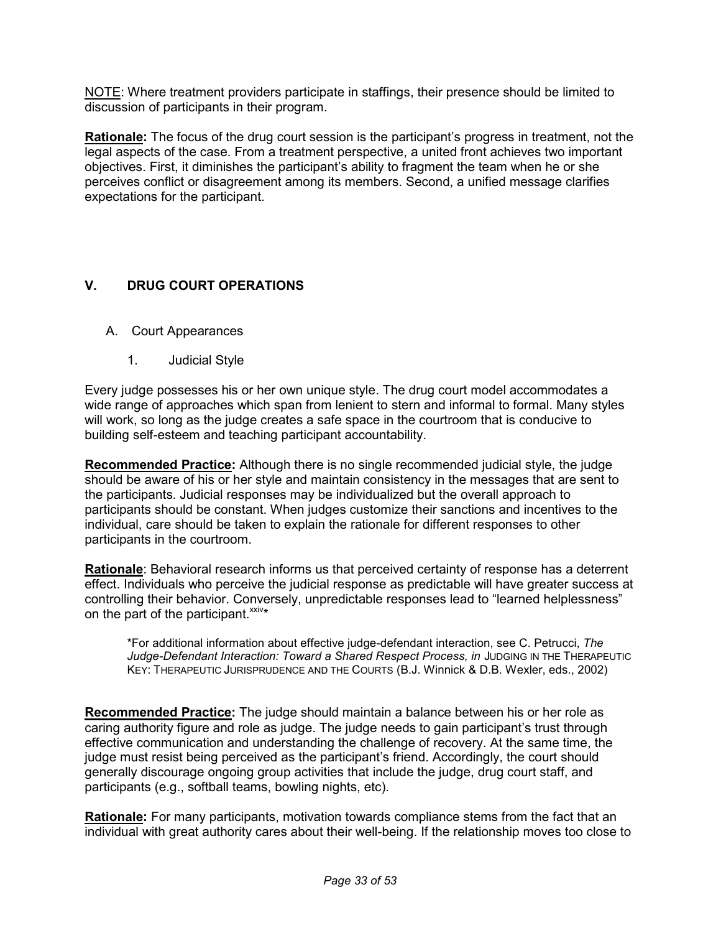NOTE: Where treatment providers participate in staffings, their presence should be limited to discussion of participants in their program.

 **Rationale:** The focus of the drug court session is the participant's progress in treatment, not the legal aspects of the case. From a treatment perspective, a united front achieves two important objectives. First, it diminishes the participant's ability to fragment the team when he or she perceives conflict or disagreement among its members. Second, a unified message clarifies expectations for the participant.

#### **V. DRUG COURT OPERATIONS**

- A. Court Appearances
	- 1. Judicial Style

 Every judge possesses his or her own unique style. The drug court model accommodates a wide range of approaches which span from lenient to stern and informal to formal. Many styles will work, so long as the judge creates a safe space in the courtroom that is conducive to building self-esteem and teaching participant accountability.

 **Recommended Practice:** Although there is no single recommended judicial style, the judge should be aware of his or her style and maintain consistency in the messages that are sent to the participants. Judicial responses may be individualized but the overall approach to participants should be constant. When judges customize their sanctions and incentives to the individual, care should be taken to explain the rationale for different responses to other participants in the courtroom.

 **Rationale**: Behavioral research informs us that perceived certainty of response has a deterrent effect. Individuals who perceive the judicial response as predictable will have greater success at controlling their behavior. Conversely, unpredictable responses lead to "learned helplessness" on the part of the participant. $x_{xiv*}$ 

 \*For additional information about effective judge-defendant interaction, see C. Petrucci, *The Judge-Defendant Interaction: Toward a Shared Respect Process, in* JUDGING IN THE THERAPEUTIC KEY: THERAPEUTIC JURISPRUDENCE AND THE COURTS (B.J. Winnick & D.B. Wexler, eds., 2002)

 **Recommended Practice:** The judge should maintain a balance between his or her role as caring authority figure and role as judge. The judge needs to gain participant's trust through effective communication and understanding the challenge of recovery. At the same time, the judge must resist being perceived as the participant's friend. Accordingly, the court should generally discourage ongoing group activities that include the judge, drug court staff, and participants (e.g., softball teams, bowling nights, etc).

 **Rationale:** For many participants, motivation towards compliance stems from the fact that an individual with great authority cares about their well-being. If the relationship moves too close to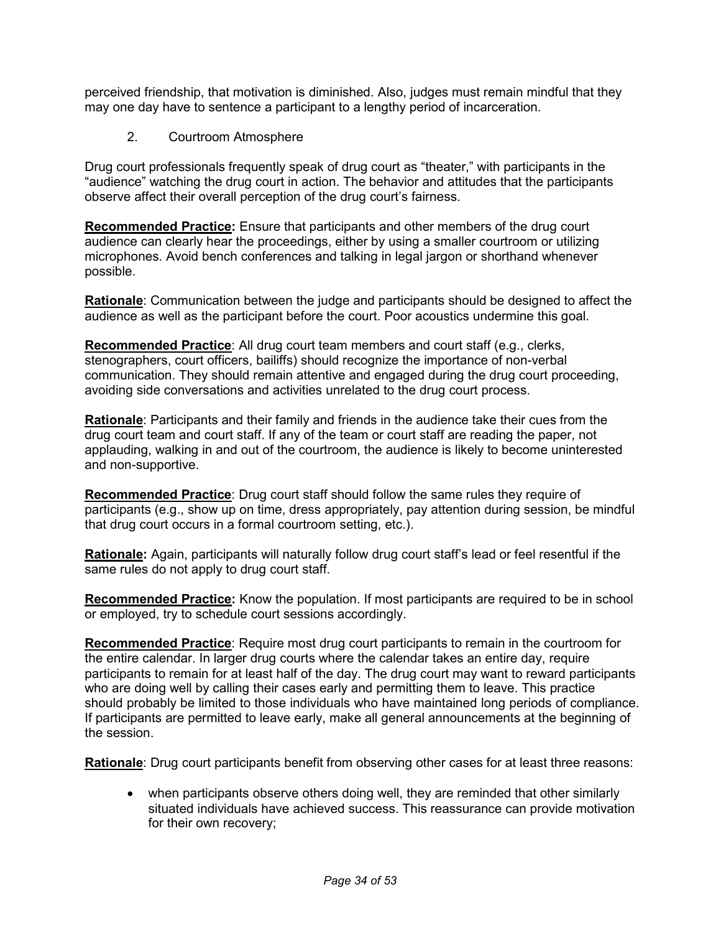perceived friendship, that motivation is diminished. Also, judges must remain mindful that they may one day have to sentence a participant to a lengthy period of incarceration.

2. Courtroom Atmosphere

 Drug court professionals frequently speak of drug court as "theater," with participants in the "audience" watching the drug court in action. The behavior and attitudes that the participants observe affect their overall perception of the drug court's fairness.

 **Recommended Practice:** Ensure that participants and other members of the drug court audience can clearly hear the proceedings, either by using a smaller courtroom or utilizing microphones. Avoid bench conferences and talking in legal jargon or shorthand whenever possible.

 **Rationale**: Communication between the judge and participants should be designed to affect the audience as well as the participant before the court. Poor acoustics undermine this goal.

 **Recommended Practice**: All drug court team members and court staff (e.g., clerks, stenographers, court officers, bailiffs) should recognize the importance of non-verbal communication. They should remain attentive and engaged during the drug court proceeding, avoiding side conversations and activities unrelated to the drug court process.

 **Rationale**: Participants and their family and friends in the audience take their cues from the drug court team and court staff. If any of the team or court staff are reading the paper, not applauding, walking in and out of the courtroom, the audience is likely to become uninterested and non-supportive.

 **Recommended Practice**: Drug court staff should follow the same rules they require of participants (e.g., show up on time, dress appropriately, pay attention during session, be mindful that drug court occurs in a formal courtroom setting, etc.).

 **Rationale:** Again, participants will naturally follow drug court staff's lead or feel resentful if the same rules do not apply to drug court staff.

 **Recommended Practice:** Know the population. If most participants are required to be in school or employed, try to schedule court sessions accordingly.

 **Recommended Practice**: Require most drug court participants to remain in the courtroom for the entire calendar. In larger drug courts where the calendar takes an entire day, require participants to remain for at least half of the day. The drug court may want to reward participants who are doing well by calling their cases early and permitting them to leave. This practice should probably be limited to those individuals who have maintained long periods of compliance. If participants are permitted to leave early, make all general announcements at the beginning of the session.

**Rationale**: Drug court participants benefit from observing other cases for at least three reasons:

 • when participants observe others doing well, they are reminded that other similarly situated individuals have achieved success. This reassurance can provide motivation for their own recovery;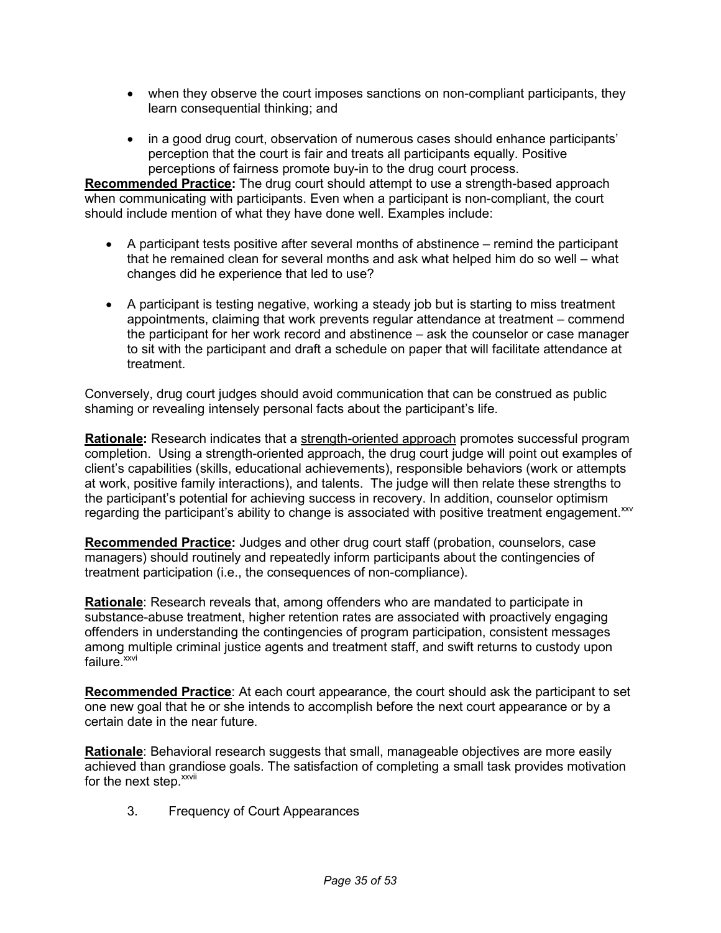- • when they observe the court imposes sanctions on non-compliant participants, they learn consequential thinking; and
- • in a good drug court, observation of numerous cases should enhance participants' perception that the court is fair and treats all participants equally. Positive perceptions of fairness promote buy-in to the drug court process.

 **Recommended Practice:** The drug court should attempt to use a strength-based approach when communicating with participants. Even when a participant is non-compliant, the court should include mention of what they have done well. Examples include:

- • A participant tests positive after several months of abstinence remind the participant that he remained clean for several months and ask what helped him do so well – what changes did he experience that led to use?
- • A participant is testing negative, working a steady job but is starting to miss treatment appointments, claiming that work prevents regular attendance at treatment – commend the participant for her work record and abstinence – ask the counselor or case manager to sit with the participant and draft a schedule on paper that will facilitate attendance at treatment.

 treatment. Conversely, drug court judges should avoid communication that can be construed as public shaming or revealing intensely personal facts about the participant's life.

 **Rationale:** Research indicates that a strength-oriented approach promotes successful program completion. Using a strength-oriented approach, the drug court judge will point out examples of client's capabilities (skills, educational achievements), responsible behaviors (work or attempts at work, positive family interactions), and talents. The judge will then relate these strengths to the participant's potential for achieving success in recovery. In addition, counselor optimism regarding the participant's ability to change is associated with positive treatment engagement. XXV

 **Recommended Practice:** Judges and other drug court staff (probation, counselors, case managers) should routinely and repeatedly inform participants about the contingencies of treatment participation (i.e., the consequences of non-compliance).

 **Rationale**: Research reveals that, among offenders who are mandated to participate in substance-abuse treatment, higher retention rates are associated with proactively engaging offenders in understanding the contingencies of program participation, consistent messages among multiple criminal justice agents and treatment staff, and swift returns to custody upon failure.<sup>xxvi</sup>

 **Recommended Practice**: At each court appearance, the court should ask the participant to set one new goal that he or she intends to accomplish before the next court appearance or by a certain date in the near future.

 **Rationale**: Behavioral research suggests that small, manageable objectives are more easily achieved than grandiose goals. The satisfaction of completing a small task provides motivation for the next step.<sup>xxvii</sup>

3. Frequency of Court Appearances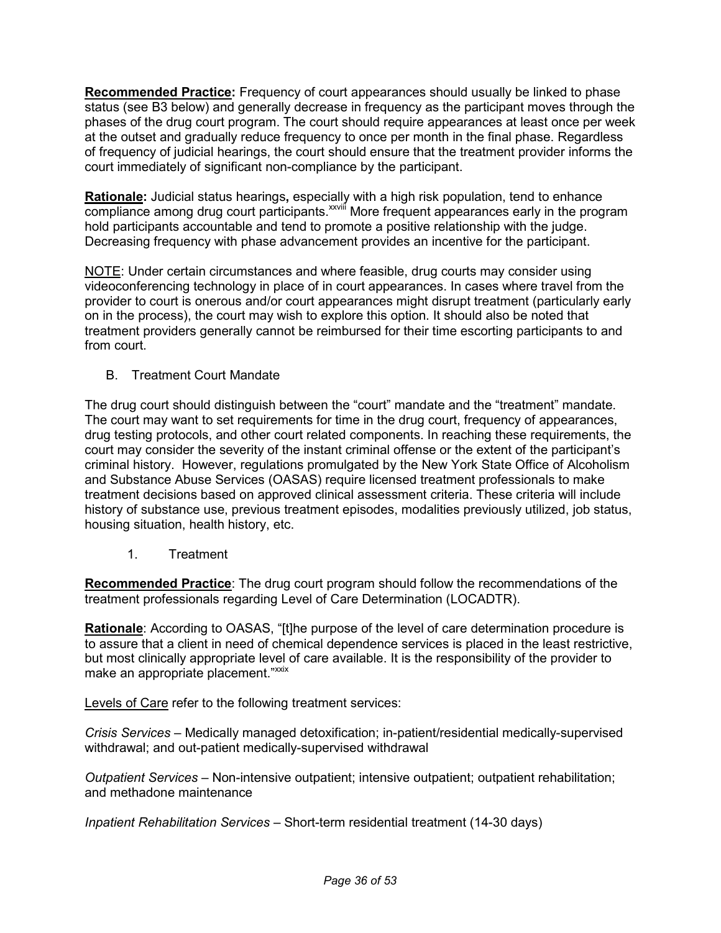**Recommended Practice:** Frequency of court appearances should usually be linked to phase status (see B3 below) and generally decrease in frequency as the participant moves through the phases of the drug court program. The court should require appearances at least once per week at the outset and gradually reduce frequency to once per month in the final phase. Regardless of frequency of judicial hearings, the court should ensure that the treatment provider informs the court immediately of significant non-compliance by the participant.

 **Rationale:** Judicial status hearings**,** especially with a high risk population, tend to enhance compliance among drug court participants.<sup>xxviii</sup> More frequent appearances early in the program hold participants accountable and tend to promote a positive relationship with the judge. Decreasing frequency with phase advancement provides an incentive for the participant.

NOTE: Under certain circumstances and where feasible, drug courts may consider using videoconferencing technology in place of in court appearances. In cases where travel from the provider to court is onerous and/or court appearances might disrupt treatment (particularly early on in the process), the court may wish to explore this option. It should also be noted that treatment providers generally cannot be reimbursed for their time escorting participants to and from court.

B. Treatment Court Mandate

 The drug court should distinguish between the "court" mandate and the "treatment" mandate. The court may want to set requirements for time in the drug court, frequency of appearances, drug testing protocols, and other court related components. In reaching these requirements, the court may consider the severity of the instant criminal offense or the extent of the participant's criminal history. However, regulations promulgated by the New York State Office of Alcoholism and Substance Abuse Services (OASAS) require licensed treatment professionals to make treatment decisions based on approved clinical assessment criteria. These criteria will include history of substance use, previous treatment episodes, modalities previously utilized, job status, housing situation, health history, etc.

1. Treatment

 **Recommended Practice**: The drug court program should follow the recommendations of the treatment professionals regarding Level of Care Determination (LOCADTR).

 **Rationale**: According to OASAS, "[t]he purpose of the level of care determination procedure is to assure that a client in need of chemical dependence services is placed in the least restrictive, but most clinically appropriate level of care available. It is the responsibility of the provider to make an appropriate placement."<sup>xxix</sup>

Levels of Care refer to the following treatment services:

 *Crisis Services* – Medically managed detoxification; in-patient/residential medically-supervised withdrawal; and out-patient medically-supervised withdrawal

 *Outpatient Services* – Non-intensive outpatient; intensive outpatient; outpatient rehabilitation; and methadone maintenance

*Inpatient Rehabilitation Services* – Short-term residential treatment (14-30 days)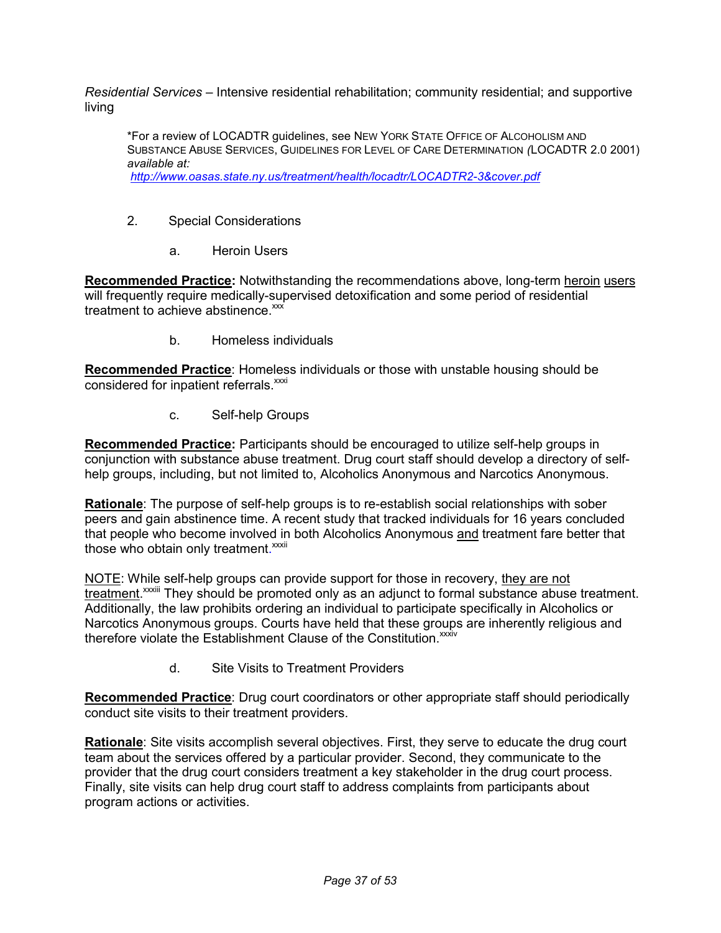*Residential Services* – Intensive residential rehabilitation; community residential; and supportive living

 \*For a review of LOCADTR guidelines, see NEW YORK STATE OFFICE OF ALCOHOLISM AND SUBSTANCE ABUSE SERVICES, GUIDELINES FOR LEVEL OF CARE DETERMINATION *(*LOCADTR 2.0 2001) *available at: <http://www.oasas.state.ny.us/treatment/health/locadtr/LOCADTR2-3&cover.pdf>*

- 2. Special Considerations
	- a. Heroin Users

**Recommended Practice:** Notwithstanding the recommendations above, long-term heroin users will frequently require medically-supervised detoxification and some period of residential treatment to achieve abstinence.<sup>xxx</sup>

b. Homeless individuals

 **Recommended Practice**: Homeless individuals or those with unstable housing should be considered for inpatient referrals.<sup>xxxi</sup>

c. Self-help Groups

 **Recommended Practice:** Participants should be encouraged to utilize self-help groups in conjunction with substance abuse treatment. Drug court staff should develop a directory of self-help groups, including, but not limited to, Alcoholics Anonymous and Narcotics Anonymous.

 **Rationale**: The purpose of self-help groups is to re-establish social relationships with sober peers and gain abstinence time. A recent study that tracked individuals for 16 years concluded that people who become involved in both Alcoholics Anonymous and treatment fare better that those who obtain only treatment.<sup>xxxii</sup>

NOTE: While self-help groups can provide support for those in recovery, they are not treatment.<sup>xxxiii</sup> They should be promoted only as an adjunct to formal substance abuse treatment. Additionally, the law prohibits ordering an individual to participate specifically in Alcoholics or Narcotics Anonymous groups. Courts have held that these groups are inherently religious and therefore violate the Establishment Clause of the Constitution. XXXIV

> $\mathsf{h}$ Site Visits to Treatment Providers

 **Recommended Practice**: Drug court coordinators or other appropriate staff should periodically conduct site visits to their treatment providers.

 **Rationale**: Site visits accomplish several objectives. First, they serve to educate the drug court team about the services offered by a particular provider. Second, they communicate to the provider that the drug court considers treatment a key stakeholder in the drug court process. Finally, site visits can help drug court staff to address complaints from participants about program actions or activities.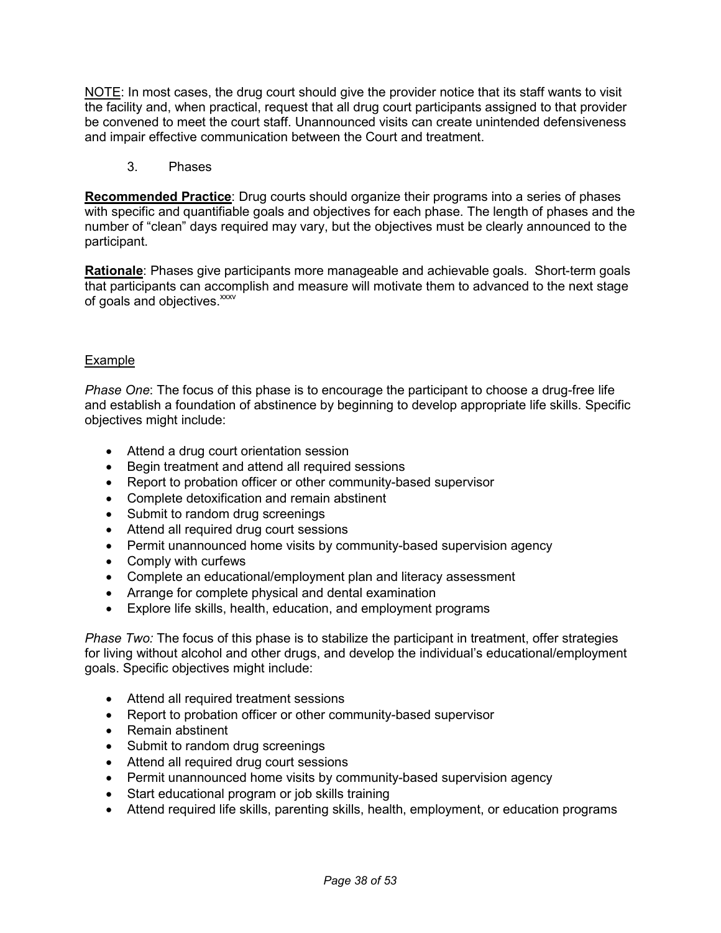NOTE: In most cases, the drug court should give the provider notice that its staff wants to visit the facility and, when practical, request that all drug court participants assigned to that provider be convened to meet the court staff. Unannounced visits can create unintended defensiveness and impair effective communication between the Court and treatment.

3. Phases

 **Recommended Practice**: Drug courts should organize their programs into a series of phases with specific and quantifiable goals and objectives for each phase. The length of phases and the number of "clean" days required may vary, but the objectives must be clearly announced to the participant.

 **Rationale**: Phases give participants more manageable and achievable goals. Short-term goals that participants can accomplish and measure will motivate them to advanced to the next stage of goals and objectives.<sup>xxxv</sup>

#### Example

 *Phase One*: The focus of this phase is to encourage the participant to choose a drug-free life and establish a foundation of abstinence by beginning to develop appropriate life skills. Specific objectives might include:

- Attend a drug court orientation session
- Begin treatment and attend all required sessions
- Report to probation officer or other community-based supervisor
- Complete detoxification and remain abstinent
- Submit to random drug screenings
- Attend all required drug court sessions
- Permit unannounced home visits by community-based supervision agency
- Comply with curfews
- Complete an educational/employment plan and literacy assessment
- Arrange for complete physical and dental examination
- Explore life skills, health, education, and employment programs

 *Phase Two:* The focus of this phase is to stabilize the participant in treatment, offer strategies for living without alcohol and other drugs, and develop the individual's educational/employment goals. Specific objectives might include:

- Attend all required treatment sessions
- Report to probation officer or other community-based supervisor
- Remain abstinent
- Submit to random drug screenings
- Attend all required drug court sessions
- Permit unannounced home visits by community-based supervision agency
- Start educational program or job skills training
- Attend required life skills, parenting skills, health, employment, or education programs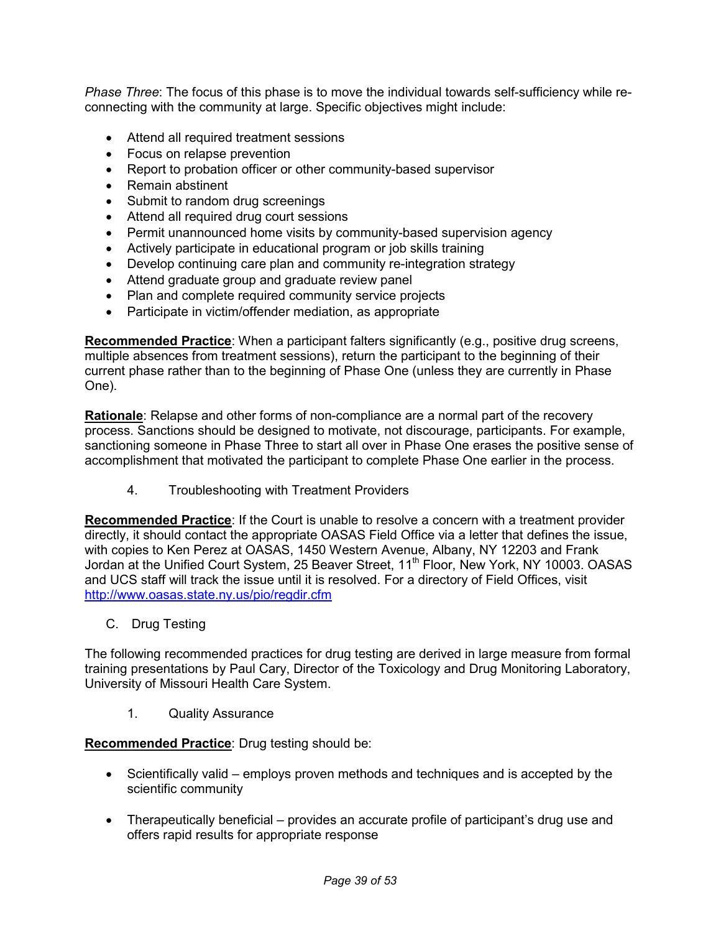*Phase Three*: The focus of this phase is to move the individual towards self-sufficiency while re-connecting with the community at large. Specific objectives might include:

- Attend all required treatment sessions
- Focus on relapse prevention
- Report to probation officer or other community-based supervisor
- Remain abstinent
- Submit to random drug screenings
- Attend all required drug court sessions
- Permit unannounced home visits by community-based supervision agency
- Actively participate in educational program or job skills training
- Develop continuing care plan and community re-integration strategy
- Attend graduate group and graduate review panel
- Plan and complete required community service projects
- Participate in victim/offender mediation, as appropriate

 **Recommended Practice**: When a participant falters significantly (e.g., positive drug screens, multiple absences from treatment sessions), return the participant to the beginning of their current phase rather than to the beginning of Phase One (unless they are currently in Phase One).

 **Rationale**: Relapse and other forms of non-compliance are a normal part of the recovery process. Sanctions should be designed to motivate, not discourage, participants. For example, sanctioning someone in Phase Three to start all over in Phase One erases the positive sense of accomplishment that motivated the participant to complete Phase One earlier in the process.

4. Troubleshooting with Treatment Providers

 **Recommended Practice**: If the Court is unable to resolve a concern with a treatment provider directly, it should contact the appropriate OASAS Field Office via a letter that defines the issue, with copies to Ken Perez at OASAS, 1450 Western Avenue, Albany, NY 12203 and Frank Jordan at the Unified Court System, 25 Beaver Street, 11<sup>th</sup> Floor, New York, NY 10003. OASAS and UCS staff will track the issue until it is resolved. For a directory of Field Offices, visit <http://www.oasas.state.ny.us/pio/regdir.cfm>

C. Drug Testing

 The following recommended practices for drug testing are derived in large measure from formal training presentations by Paul Cary, Director of the Toxicology and Drug Monitoring Laboratory, University of Missouri Health Care System.

1. Quality Assurance

**Recommended Practice**: Drug testing should be:

- • Scientifically valid employs proven methods and techniques and is accepted by the scientific community
- • Therapeutically beneficial provides an accurate profile of participant's drug use and offers rapid results for appropriate response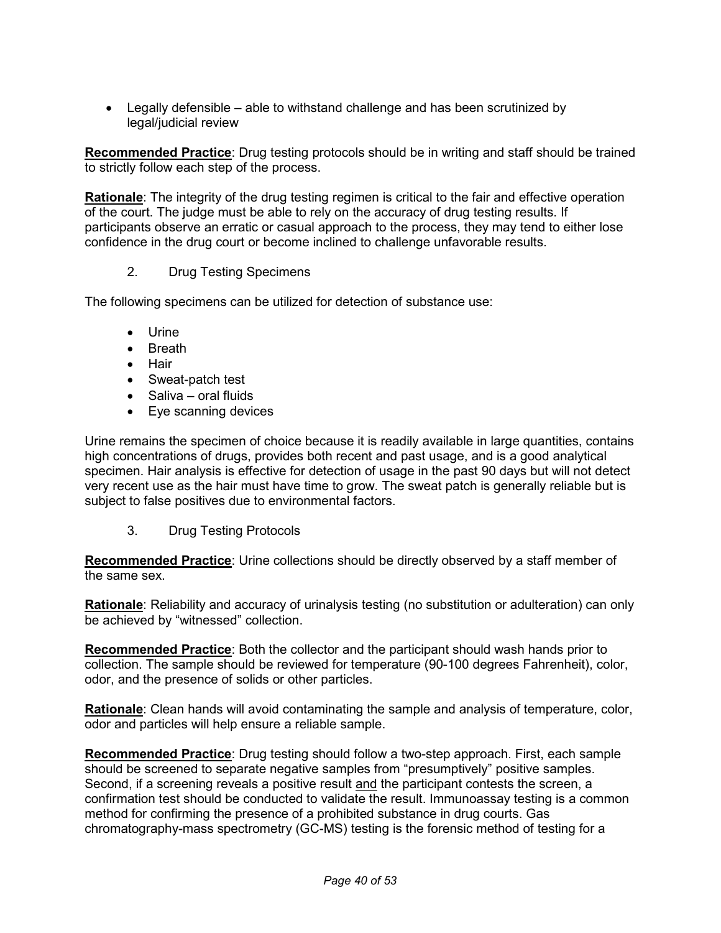• Legally defensible – able to withstand challenge and has been scrutinized by legal/judicial review

 **Recommended Practice**: Drug testing protocols should be in writing and staff should be trained to strictly follow each step of the process.

 **Rationale**: The integrity of the drug testing regimen is critical to the fair and effective operation of the court. The judge must be able to rely on the accuracy of drug testing results. If participants observe an erratic or casual approach to the process, they may tend to either lose confidence in the drug court or become inclined to challenge unfavorable results.

#### $2<sup>1</sup>$ **Drug Testing Specimens**

The following specimens can be utilized for detection of substance use:

- Urine
- Breath
- Hair
- Sweat-patch test
- Saliva oral fluids
- Eye scanning devices

 Urine remains the specimen of choice because it is readily available in large quantities, contains high concentrations of drugs, provides both recent and past usage, and is a good analytical specimen. Hair analysis is effective for detection of usage in the past 90 days but will not detect very recent use as the hair must have time to grow. The sweat patch is generally reliable but is subject to false positives due to environmental factors.

3. 3. Drug Testing Protocols

 **Recommended Practice**: Urine collections should be directly observed by a staff member of the same sex.

 **Rationale**: Reliability and accuracy of urinalysis testing (no substitution or adulteration) can only be achieved by "witnessed" collection.

 **Recommended Practice**: Both the collector and the participant should wash hands prior to collection. The sample should be reviewed for temperature (90-100 degrees Fahrenheit), color, odor, and the presence of solids or other particles.

 **Rationale**: Clean hands will avoid contaminating the sample and analysis of temperature, color, odor and particles will help ensure a reliable sample.

 **Recommended Practice**: Drug testing should follow a two-step approach. First, each sample should be screened to separate negative samples from "presumptively" positive samples. Second, if a screening reveals a positive result and the participant contests the screen, a confirmation test should be conducted to validate the result. Immunoassay testing is a common method for confirming the presence of a prohibited substance in drug courts. Gas chromatography-mass spectrometry (GC-MS) testing is the forensic method of testing for a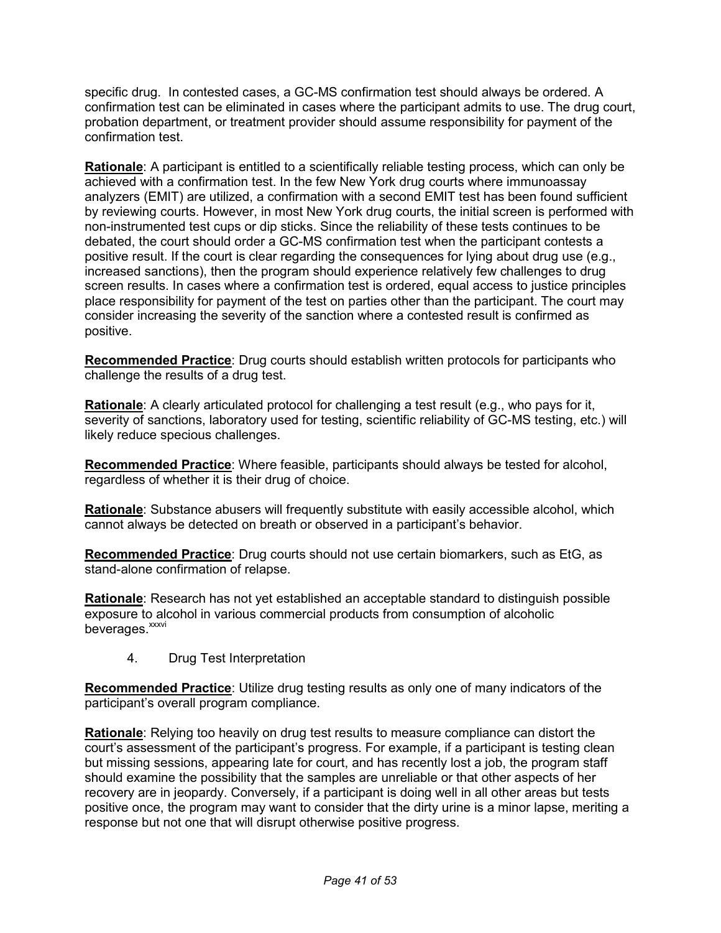specific drug. In contested cases, a GC-MS confirmation test should always be ordered. A confirmation test can be eliminated in cases where the participant admits to use. The drug court, probation department, or treatment provider should assume responsibility for payment of the confirmation test.

 **Rationale**: A participant is entitled to a scientifically reliable testing process, which can only be achieved with a confirmation test. In the few New York drug courts where immunoassay analyzers (EMIT) are utilized, a confirmation with a second EMIT test has been found sufficient by reviewing courts. However, in most New York drug courts, the initial screen is performed with non-instrumented test cups or dip sticks. Since the reliability of these tests continues to be debated, the court should order a GC-MS confirmation test when the participant contests a positive result. If the court is clear regarding the consequences for lying about drug use (e.g., increased sanctions), then the program should experience relatively few challenges to drug screen results. In cases where a confirmation test is ordered, equal access to justice principles place responsibility for payment of the test on parties other than the participant. The court may consider increasing the severity of the sanction where a contested result is confirmed as positive.

 **Recommended Practice**: Drug courts should establish written protocols for participants who challenge the results of a drug test.

 **Rationale**: A clearly articulated protocol for challenging a test result (e.g., who pays for it, severity of sanctions, laboratory used for testing, scientific reliability of GC-MS testing, etc.) will likely reduce specious challenges.

 **Recommended Practice**: Where feasible, participants should always be tested for alcohol, regardless of whether it is their drug of choice.

 **Rationale**: Substance abusers will frequently substitute with easily accessible alcohol, which cannot always be detected on breath or observed in a participant's behavior.

 **Recommended Practice**: Drug courts should not use certain biomarkers, such as EtG, as stand-alone confirmation of relapse.

 **Rationale**: Research has not yet established an acceptable standard to distinguish possible exposure to alcohol in various commercial products from consumption of alcoholic beverages.<sup>xxxvi</sup>

 $4.$ 4. Drug Test Interpretation

 **Recommended Practice**: Utilize drug testing results as only one of many indicators of the participant's overall program compliance.

 **Rationale**: Relying too heavily on drug test results to measure compliance can distort the court's assessment of the participant's progress. For example, if a participant is testing clean but missing sessions, appearing late for court, and has recently lost a job, the program staff should examine the possibility that the samples are unreliable or that other aspects of her recovery are in jeopardy. Conversely, if a participant is doing well in all other areas but tests positive once, the program may want to consider that the dirty urine is a minor lapse, meriting a response but not one that will disrupt otherwise positive progress.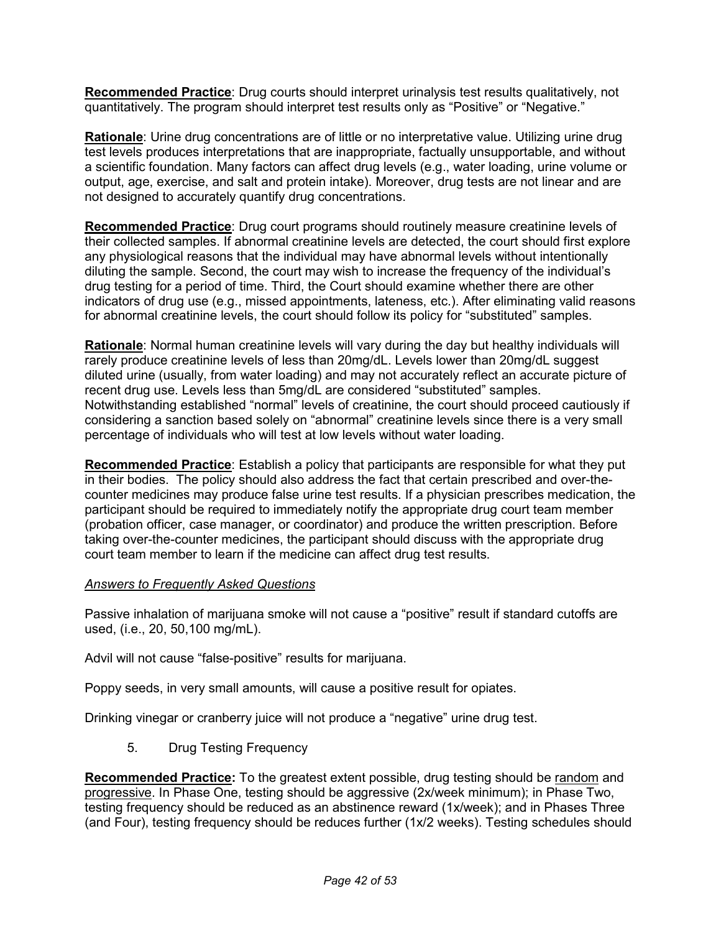**Recommended Practice**: Drug courts should interpret urinalysis test results qualitatively, not quantitatively. The program should interpret test results only as "Positive" or "Negative."

 **Rationale**: Urine drug concentrations are of little or no interpretative value. Utilizing urine drug test levels produces interpretations that are inappropriate, factually unsupportable, and without a scientific foundation. Many factors can affect drug levels (e.g., water loading, urine volume or output, age, exercise, and salt and protein intake). Moreover, drug tests are not linear and are not designed to accurately quantify drug concentrations.

 **Recommended Practice**: Drug court programs should routinely measure creatinine levels of their collected samples. If abnormal creatinine levels are detected, the court should first explore any physiological reasons that the individual may have abnormal levels without intentionally diluting the sample. Second, the court may wish to increase the frequency of the individual's drug testing for a period of time. Third, the Court should examine whether there are other indicators of drug use (e.g., missed appointments, lateness, etc.). After eliminating valid reasons for abnormal creatinine levels, the court should follow its policy for "substituted" samples.

 **Rationale**: Normal human creatinine levels will vary during the day but healthy individuals will rarely produce creatinine levels of less than 20mg/dL. Levels lower than 20mg/dL suggest diluted urine (usually, from water loading) and may not accurately reflect an accurate picture of recent drug use. Levels less than 5mg/dL are considered "substituted" samples. Notwithstanding established "normal" levels of creatinine, the court should proceed cautiously if considering a sanction based solely on "abnormal" creatinine levels since there is a very small percentage of individuals who will test at low levels without water loading.

 **Recommended Practice**: Establish a policy that participants are responsible for what they put in their bodies. The policy should also address the fact that certain prescribed and over-the- counter medicines may produce false urine test results. If a physician prescribes medication, the participant should be required to immediately notify the appropriate drug court team member (probation officer, case manager, or coordinator) and produce the written prescription. Before taking over-the-counter medicines, the participant should discuss with the appropriate drug court team member to learn if the medicine can affect drug test results.

#### *Answers to Frequently Asked Questions*

 Passive inhalation of marijuana smoke will not cause a "positive" result if standard cutoffs are used, (i.e., 20, 50,100 mg/mL).

Advil will not cause "false-positive" results for marijuana.

Poppy seeds, in very small amounts, will cause a positive result for opiates.

Drinking vinegar or cranberry juice will not produce a "negative" urine drug test.

5. 5. Drug Testing Frequency

Recommended Practice: To the greatest extent possible, drug testing should be random and progressive. In Phase One, testing should be aggressive (2x/week minimum); in Phase Two, testing frequency should be reduced as an abstinence reward (1x/week); and in Phases Three (and Four), testing frequency should be reduces further (1x/2 weeks). Testing schedules should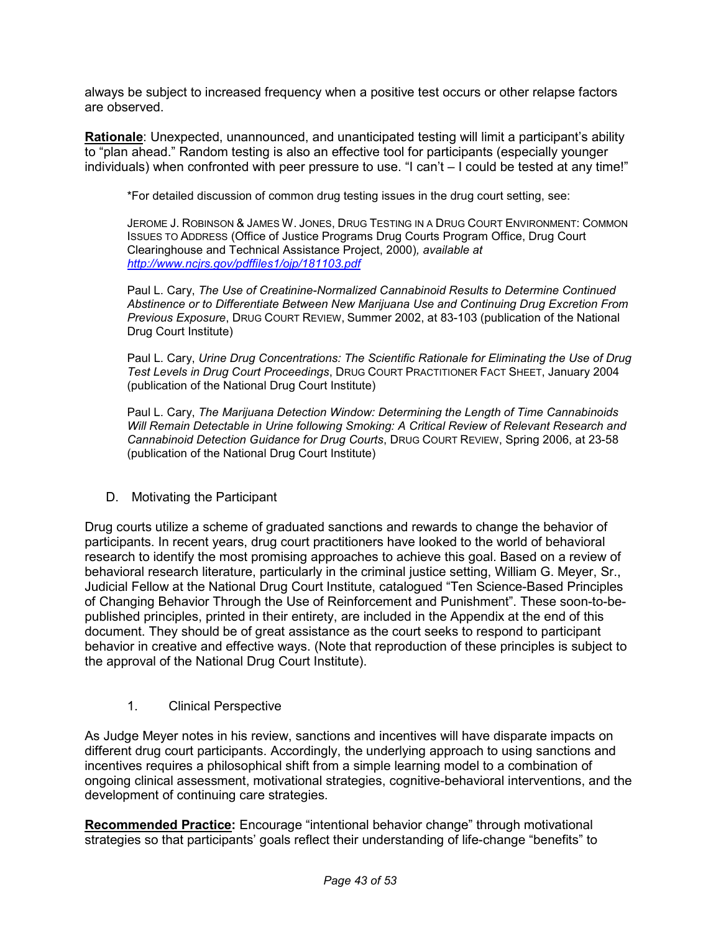always be subject to increased frequency when a positive test occurs or other relapse factors are observed.

 **Rationale**: Unexpected, unannounced, and unanticipated testing will limit a participant's ability to "plan ahead." Random testing is also an effective tool for participants (especially younger individuals) when confronted with peer pressure to use. "I can't – I could be tested at any time!"

\*For detailed discussion of common drug testing issues in the drug court setting, see:

 JEROME J. ROBINSON & JAMES W. JONES, DRUG TESTING IN A DRUG COURT ENVIRONMENT: COMMON ISSUES TO ADDRESS (Office of Justice Programs Drug Courts Program Office, Drug Court Clearinghouse and Technical Assistance Project, 2000)*, available at <http://www.ncjrs.gov/pdffiles1/ojp/181103.pdf>* 

 Paul L. Cary, *The Use of Creatinine-Normalized Cannabinoid Results to Determine Continued Abstinence or to Differentiate Between New Marijuana Use and Continuing Drug Excretion From Previous Exposure*, DRUG COURT REVIEW, Summer 2002, at 83-103 (publication of the National Drug Court Institute)

 Paul L. Cary, *Urine Drug Concentrations: The Scientific Rationale for Eliminating the Use of Drug Test Levels in Drug Court Proceedings*, DRUG COURT PRACTITIONER FACT SHEET, January 2004 (publication of the National Drug Court Institute)

 Paul L. Cary, *The Marijuana Detection Window: Determining the Length of Time Cannabinoids Will Remain Detectable in Urine following Smoking: A Critical Review of Relevant Research and Cannabinoid Detection Guidance for Drug Courts*, DRUG COURT REVIEW, Spring 2006, at 23-58 (publication of the National Drug Court Institute)

D. Motivating the Participant

 Drug courts utilize a scheme of graduated sanctions and rewards to change the behavior of participants. In recent years, drug court practitioners have looked to the world of behavioral research to identify the most promising approaches to achieve this goal. Based on a review of behavioral research literature, particularly in the criminal justice setting, William G. Meyer, Sr., Judicial Fellow at the National Drug Court Institute, catalogued "Ten Science-Based Principles of Changing Behavior Through the Use of Reinforcement and Punishment". These soon-to-be- published principles, printed in their entirety, are included in the Appendix at the end of this document. They should be of great assistance as the court seeks to respond to participant behavior in creative and effective ways. (Note that reproduction of these principles is subject to the approval of the National Drug Court Institute).

1. Clinical Perspective

 As Judge Meyer notes in his review, sanctions and incentives will have disparate impacts on different drug court participants. Accordingly, the underlying approach to using sanctions and incentives requires a philosophical shift from a simple learning model to a combination of ongoing clinical assessment, motivational strategies, cognitive-behavioral interventions, and the development of continuing care strategies.

 **Recommended Practice:** Encourage "intentional behavior change" through motivational strategies so that participants' goals reflect their understanding of life-change "benefits" to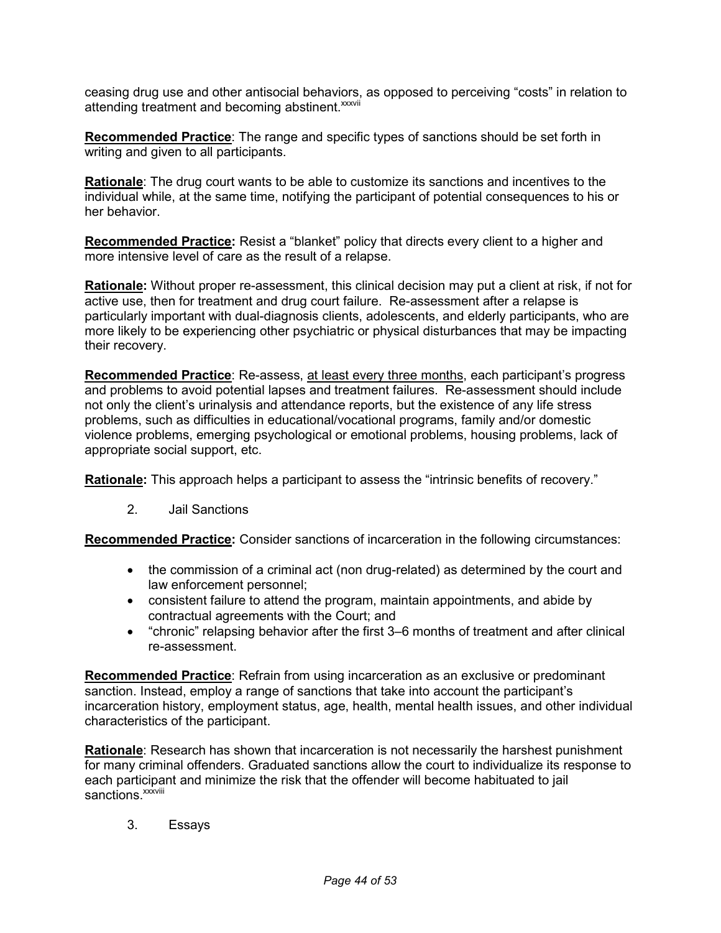ceasing drug use and other antisocial behaviors, as opposed to perceiving "costs" in relation to attending treatment and becoming abstinent.<sup>xxxvii</sup>

 **Recommended Practice**: The range and specific types of sanctions should be set forth in writing and given to all participants.

 **Rationale**: The drug court wants to be able to customize its sanctions and incentives to the individual while, at the same time, notifying the participant of potential consequences to his or her behavior.

 **Recommended Practice:** Resist a "blanket" policy that directs every client to a higher and more intensive level of care as the result of a relapse.

 **Rationale:** Without proper re-assessment, this clinical decision may put a client at risk, if not for active use, then for treatment and drug court failure. Re-assessment after a relapse is particularly important with dual-diagnosis clients, adolescents, and elderly participants, who are more likely to be experiencing other psychiatric or physical disturbances that may be impacting their recovery.

 **Recommended Practice**: Re-assess, at least every three months, each participant's progress and problems to avoid potential lapses and treatment failures. Re-assessment should include not only the client's urinalysis and attendance reports, but the existence of any life stress problems, such as difficulties in educational/vocational programs, family and/or domestic violence problems, emerging psychological or emotional problems, housing problems, lack of appropriate social support, etc.

**Rationale:** This approach helps a participant to assess the "intrinsic benefits of recovery."

 $2.$ Jail Sanctions

 **Recommended Practice:** Consider sanctions of incarceration in the following circumstances:

- • the commission of a criminal act (non drug-related) as determined by the court and law enforcement personnel;
- • consistent failure to attend the program, maintain appointments, and abide by contractual agreements with the Court; and
- • "chronic" relapsing behavior after the first 3–6 months of treatment and after clinical re-assessment.

 **Recommended Practice**: Refrain from using incarceration as an exclusive or predominant sanction. Instead, employ a range of sanctions that take into account the participant's incarceration history, employment status, age, health, mental health issues, and other individual characteristics of the participant.

 **Rationale**: Research has shown that incarceration is not necessarily the harshest punishment for many criminal offenders. Graduated sanctions allow the court to individualize its response to each participant and minimize the risk that the offender will become habituated to jail sanctions.<sup>xxxviii</sup>

3. Essays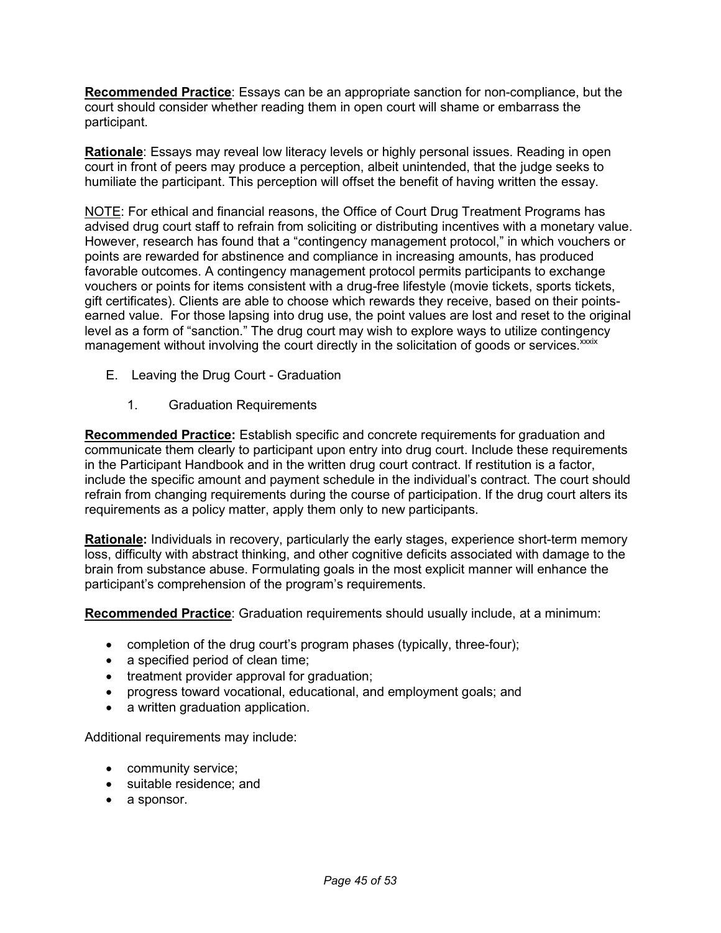**Recommended Practice**: Essays can be an appropriate sanction for non-compliance, but the court should consider whether reading them in open court will shame or embarrass the participant.

 **Rationale**: Essays may reveal low literacy levels or highly personal issues. Reading in open court in front of peers may produce a perception, albeit unintended, that the judge seeks to humiliate the participant. This perception will offset the benefit of having written the essay.

NOTE: For ethical and financial reasons, the Office of Court Drug Treatment Programs has advised drug court staff to refrain from soliciting or distributing incentives with a monetary value. However, research has found that a "contingency management protocol," in which vouchers or points are rewarded for abstinence and compliance in increasing amounts, has produced favorable outcomes. A contingency management protocol permits participants to exchange vouchers or points for items consistent with a drug-free lifestyle (movie tickets, sports tickets, gift certificates). Clients are able to choose which rewards they receive, based on their points- earned value. For those lapsing into drug use, the point values are lost and reset to the original level as a form of "sanction." The drug court may wish to explore ways to utilize contingency management without involving the court directly in the solicitation of goods or services.<sup>xxxix</sup>

- E. Leaving the Drug Court Graduation
	- 1. Graduation Requirements

 **Recommended Practice:** Establish specific and concrete requirements for graduation and communicate them clearly to participant upon entry into drug court. Include these requirements in the Participant Handbook and in the written drug court contract. If restitution is a factor, include the specific amount and payment schedule in the individual's contract. The court should refrain from changing requirements during the course of participation. If the drug court alters its requirements as a policy matter, apply them only to new participants.

 **Rationale:** Individuals in recovery, particularly the early stages, experience short-term memory loss, difficulty with abstract thinking, and other cognitive deficits associated with damage to the brain from substance abuse. Formulating goals in the most explicit manner will enhance the participant's comprehension of the program's requirements.

**Recommended Practice**: Graduation requirements should usually include, at a minimum:

- completion of the drug court's program phases (typically, three-four);
- a specified period of clean time;
- treatment provider approval for graduation;
- progress toward vocational, educational, and employment goals; and
- a written graduation application.

Additional requirements may include:

- community service;
- suitable residence; and
- a sponsor.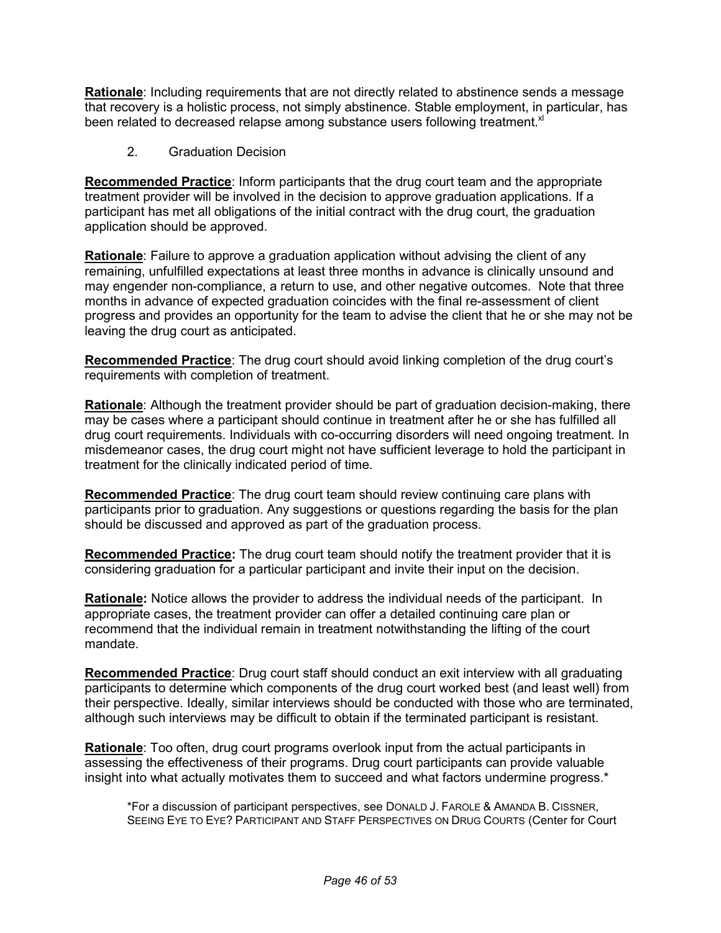**Rationale**: Including requirements that are not directly related to abstinence sends a message that recovery is a holistic process, not simply abstinence. Stable employment, in particular, has been related to decreased relapse among substance users following treatment. $x$ l

2. Graduation Decision

 **Recommended Practice**: Inform participants that the drug court team and the appropriate treatment provider will be involved in the decision to approve graduation applications. If a participant has met all obligations of the initial contract with the drug court, the graduation application should be approved.

 **Rationale**: Failure to approve a graduation application without advising the client of any remaining, unfulfilled expectations at least three months in advance is clinically unsound and may engender non-compliance, a return to use, and other negative outcomes. Note that three months in advance of expected graduation coincides with the final re-assessment of client progress and provides an opportunity for the team to advise the client that he or she may not be leaving the drug court as anticipated.

 **Recommended Practice**: The drug court should avoid linking completion of the drug court's requirements with completion of treatment.

 **Rationale**: Although the treatment provider should be part of graduation decision-making, there may be cases where a participant should continue in treatment after he or she has fulfilled all drug court requirements. Individuals with co-occurring disorders will need ongoing treatment. In misdemeanor cases, the drug court might not have sufficient leverage to hold the participant in treatment for the clinically indicated period of time.

 **Recommended Practice**: The drug court team should review continuing care plans with participants prior to graduation. Any suggestions or questions regarding the basis for the plan should be discussed and approved as part of the graduation process.

 **Recommended Practice:** The drug court team should notify the treatment provider that it is considering graduation for a particular participant and invite their input on the decision.

 **Rationale:** Notice allows the provider to address the individual needs of the participant. In appropriate cases, the treatment provider can offer a detailed continuing care plan or recommend that the individual remain in treatment notwithstanding the lifting of the court mandate.

 **Recommended Practice**: Drug court staff should conduct an exit interview with all graduating participants to determine which components of the drug court worked best (and least well) from their perspective. Ideally, similar interviews should be conducted with those who are terminated, although such interviews may be difficult to obtain if the terminated participant is resistant.

 **Rationale**: Too often, drug court programs overlook input from the actual participants in assessing the effectiveness of their programs. Drug court participants can provide valuable insight into what actually motivates them to succeed and what factors undermine progress.\*

 \*For a discussion of participant perspectives, see DONALD J. FAROLE & AMANDA B. CISSNER, SEEING EYE TO EYE? PARTICIPANT AND STAFF PERSPECTIVES ON DRUG COURTS (Center for Court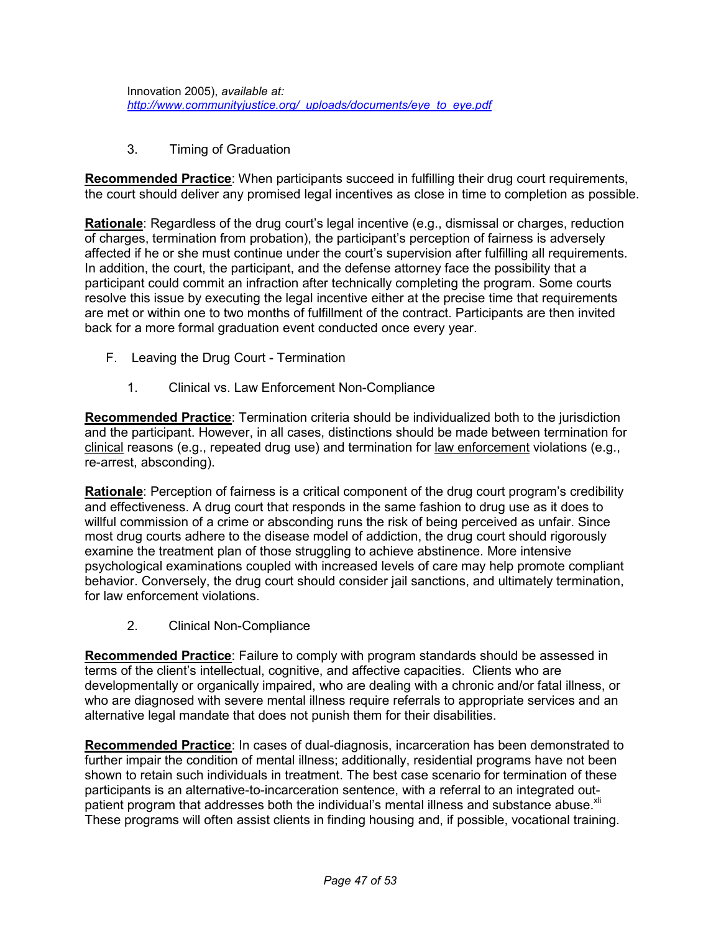Innovation 2005), *available at: [http://www.communityjustice.org/\\_uploads/documents/eye\\_to\\_eye.pdf](http://www.communityjustice.org/_uploads/documents/eye_to_eye.pdf)* 

3. Timing of Graduation

 **Recommended Practice**: When participants succeed in fulfilling their drug court requirements, the court should deliver any promised legal incentives as close in time to completion as possible.

 **Rationale**: Regardless of the drug court's legal incentive (e.g., dismissal or charges, reduction of charges, termination from probation), the participant's perception of fairness is adversely affected if he or she must continue under the court's supervision after fulfilling all requirements. In addition, the court, the participant, and the defense attorney face the possibility that a participant could commit an infraction after technically completing the program. Some courts resolve this issue by executing the legal incentive either at the precise time that requirements are met or within one to two months of fulfillment of the contract. Participants are then invited back for a more formal graduation event conducted once every year.

- F. Leaving the Drug Court Termination
	- 1. Clinical vs. Law Enforcement Non-Compliance

 **Recommended Practice**: Termination criteria should be individualized both to the jurisdiction and the participant. However, in all cases, distinctions should be made between termination for clinical reasons (e.g., repeated drug use) and termination for law enforcement violations (e.g., re-arrest, absconding).

 **Rationale**: Perception of fairness is a critical component of the drug court program's credibility and effectiveness. A drug court that responds in the same fashion to drug use as it does to willful commission of a crime or absconding runs the risk of being perceived as unfair. Since most drug courts adhere to the disease model of addiction, the drug court should rigorously examine the treatment plan of those struggling to achieve abstinence. More intensive psychological examinations coupled with increased levels of care may help promote compliant behavior. Conversely, the drug court should consider jail sanctions, and ultimately termination, for law enforcement violations.

2. Clinical Non-Compliance

 **Recommended Practice**: Failure to comply with program standards should be assessed in terms of the client's intellectual, cognitive, and affective capacities. Clients who are developmentally or organically impaired, who are dealing with a chronic and/or fatal illness, or who are diagnosed with severe mental illness require referrals to appropriate services and an alternative legal mandate that does not punish them for their disabilities.

 **Recommended Practice**: In cases of dual-diagnosis, incarceration has been demonstrated to further impair the condition of mental illness; additionally, residential programs have not been shown to retain such individuals in treatment. The best case scenario for termination of these participants is an alternative-to-incarceration sentence, with a referral to an integrated outpatient program that addresses both the individual's mental illness and substance abuse.<sup>xli</sup> These programs will often assist clients in finding housing and, if possible, vocational training.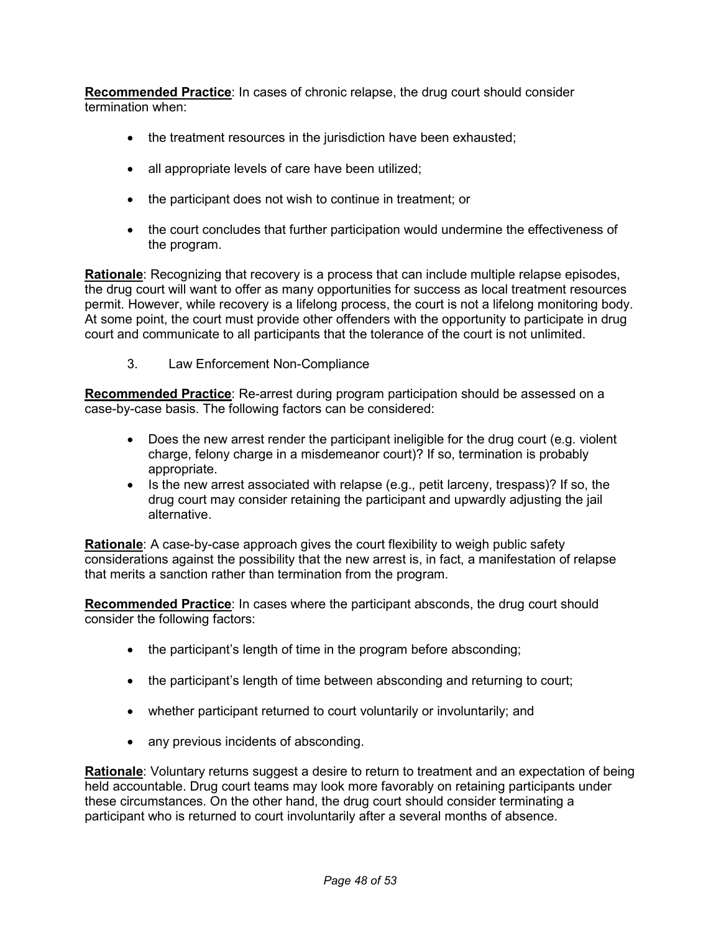**Recommended Practice**: In cases of chronic relapse, the drug court should consider termination when:

- the treatment resources in the jurisdiction have been exhausted;
- all appropriate levels of care have been utilized;
- the participant does not wish to continue in treatment; or
- • the court concludes that further participation would undermine the effectiveness of the program.

 **Rationale**: Recognizing that recovery is a process that can include multiple relapse episodes, the drug court will want to offer as many opportunities for success as local treatment resources permit. However, while recovery is a lifelong process, the court is not a lifelong monitoring body. At some point, the court must provide other offenders with the opportunity to participate in drug court and communicate to all participants that the tolerance of the court is not unlimited.

 $3<sub>1</sub>$ Law Enforcement Non-Compliance

 **Recommended Practice**: Re-arrest during program participation should be assessed on a case-by-case basis. The following factors can be considered:

- • Does the new arrest render the participant ineligible for the drug court (e.g. violent charge, felony charge in a misdemeanor court)? If so, termination is probably appropriate.
- • Is the new arrest associated with relapse (e.g., petit larceny, trespass)? If so, the drug court may consider retaining the participant and upwardly adjusting the jail alternative.

 **Rationale**: A case-by-case approach gives the court flexibility to weigh public safety considerations against the possibility that the new arrest is, in fact, a manifestation of relapse that merits a sanction rather than termination from the program.

 **Recommended Practice**: In cases where the participant absconds, the drug court should consider the following factors:

- the participant's length of time in the program before absconding;
- the participant's length of time between absconding and returning to court;
- whether participant returned to court voluntarily or involuntarily; and
- any previous incidents of absconding.

 **Rationale**: Voluntary returns suggest a desire to return to treatment and an expectation of being held accountable. Drug court teams may look more favorably on retaining participants under these circumstances. On the other hand, the drug court should consider terminating a participant who is returned to court involuntarily after a several months of absence.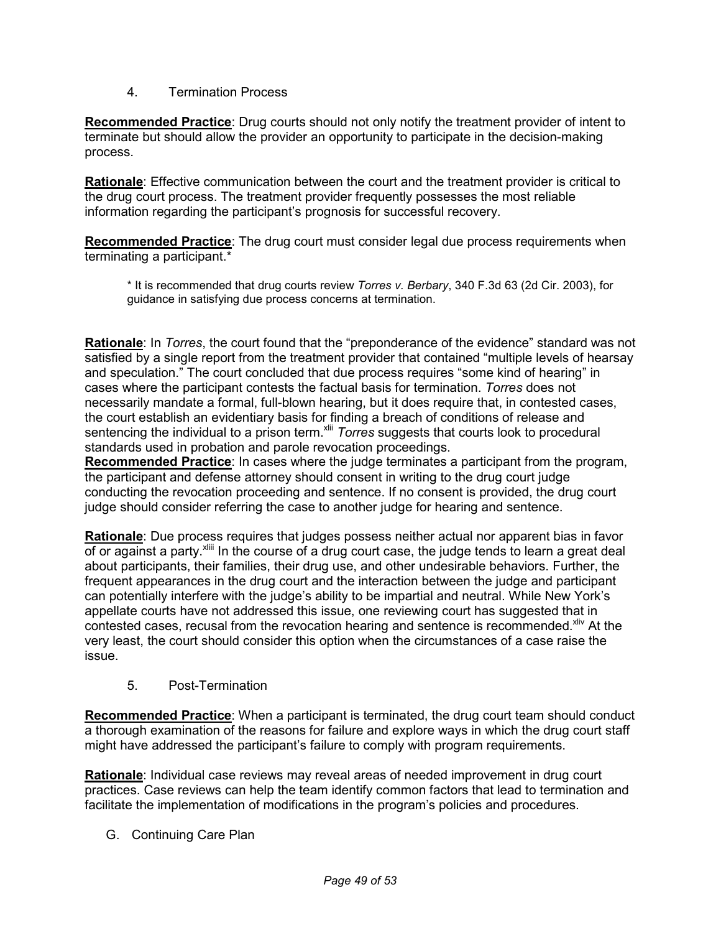#### 4. Termination Process

 **Recommended Practice**: Drug courts should not only notify the treatment provider of intent to terminate but should allow the provider an opportunity to participate in the decision-making process.

 **Rationale**: Effective communication between the court and the treatment provider is critical to the drug court process. The treatment provider frequently possesses the most reliable information regarding the participant's prognosis for successful recovery.

 **Recommended Practice**: The drug court must consider legal due process requirements when terminating a participant.\*

 \* It is recommended that drug courts review *Torres v. Berbary*, 340 F.3d 63 (2d Cir. 2003), for guidance in satisfying due process concerns at termination.

 **Rationale**: In *Torres*, the court found that the "preponderance of the evidence" standard was not satisfied by a single report from the treatment provider that contained "multiple levels of hearsay and speculation." The court concluded that due process requires "some kind of hearing" in cases where the participant contests the factual basis for termination. *Torres* does not necessarily mandate a formal, full-blown hearing, but it does require that, in contested cases, the court establish an evidentiary basis for finding a breach of conditions of release and sentencing the individual to a prison term.<sup>xlii</sup> *Torres* suggests that courts look to procedural standards used in probation and parole revocation proceedings.

 **Recommended Practice**: In cases where the judge terminates a participant from the program, the participant and defense attorney should consent in writing to the drug court judge conducting the revocation proceeding and sentence. If no consent is provided, the drug court judge should consider referring the case to another judge for hearing and sentence.

 **Rationale**: Due process requires that judges possess neither actual nor apparent bias in favor of or against a party. Xillil In the course of a drug court case, the judge tends to learn a great deal about participants, their families, their drug use, and other undesirable behaviors. Further, the frequent appearances in the drug court and the interaction between the judge and participant can potentially interfere with the judge's ability to be impartial and neutral. While New York's appellate courts have not addressed this issue, one reviewing court has suggested that in contested cases, recusal from the revocation hearing and sentence is recommended. Xliv At the very least, the court should consider this option when the circumstances of a case raise the issue.

#### 5. Post-Termination

 **Recommended Practice**: When a participant is terminated, the drug court team should conduct a thorough examination of the reasons for failure and explore ways in which the drug court staff might have addressed the participant's failure to comply with program requirements.

 **Rationale**: Individual case reviews may reveal areas of needed improvement in drug court practices. Case reviews can help the team identify common factors that lead to termination and facilitate the implementation of modifications in the program's policies and procedures.

G. Continuing Care Plan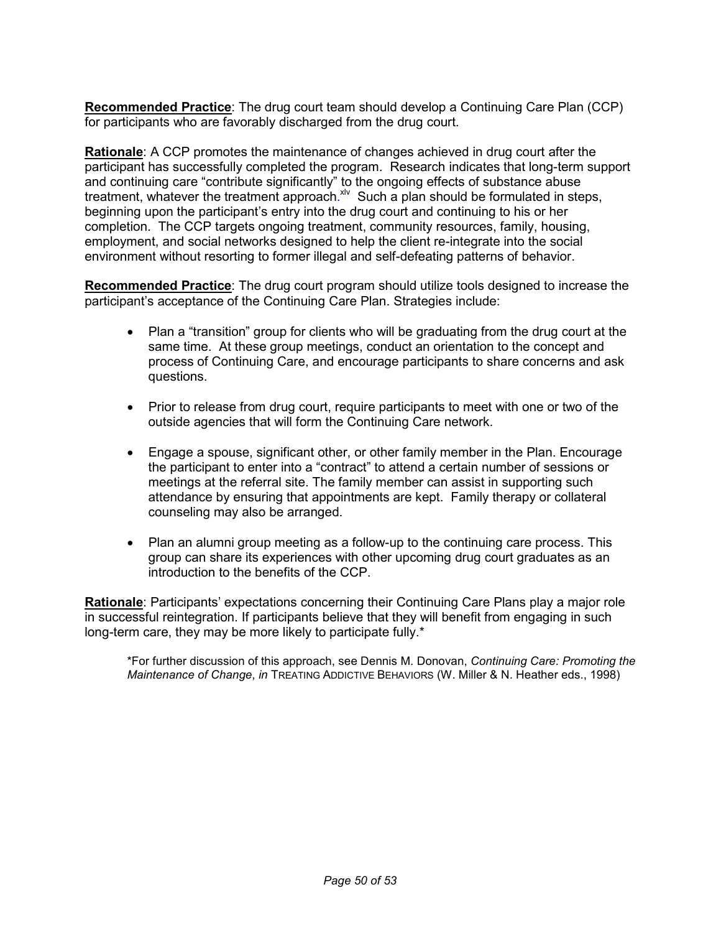**Recommended Practice**: The drug court team should develop a Continuing Care Plan (CCP) for participants who are favorably discharged from the drug court.

 **Rationale**: A CCP promotes the maintenance of changes achieved in drug court after the participant has successfully completed the program. Research indicates that long-term support and continuing care "contribute significantly" to the ongoing effects of substance abuse treatment, whatever the treatment approach. XIV Such a plan should be formulated in steps, beginning upon the participant's entry into the drug court and continuing to his or her completion. The CCP targets ongoing treatment, community resources, family, housing, employment, and social networks designed to help the client re-integrate into the social environment without resorting to former illegal and self-defeating patterns of behavior.

 **Recommended Practice**: The drug court program should utilize tools designed to increase the participant's acceptance of the Continuing Care Plan. Strategies include:

- • Plan a "transition" group for clients who will be graduating from the drug court at the same time. At these group meetings, conduct an orientation to the concept and process of Continuing Care, and encourage participants to share concerns and ask questions.
- • Prior to release from drug court, require participants to meet with one or two of the outside agencies that will form the Continuing Care network.
- • Engage a spouse, significant other, or other family member in the Plan. Encourage the participant to enter into a "contract" to attend a certain number of sessions or meetings at the referral site. The family member can assist in supporting such attendance by ensuring that appointments are kept. Family therapy or collateral counseling may also be arranged.
- • Plan an alumni group meeting as a follow-up to the continuing care process. This group can share its experiences with other upcoming drug court graduates as an introduction to the benefits of the CCP.

 **Rationale**: Participants' expectations concerning their Continuing Care Plans play a major role in successful reintegration. If participants believe that they will benefit from engaging in such long-term care, they may be more likely to participate fully.\*

 \*For further discussion of this approach, see Dennis M. Donovan, *Continuing Care: Promoting the Maintenance of Change*, *in* TREATING ADDICTIVE BEHAVIORS (W. Miller & N. Heather eds., 1998)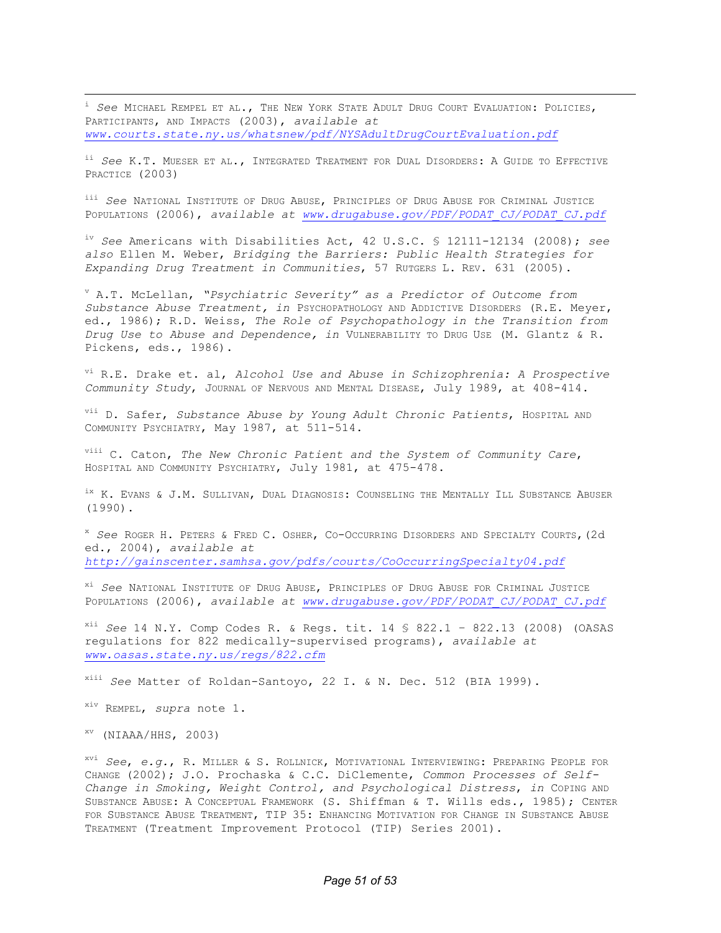PARTICIPANTS, AND IMPACTS (2003), *available at*  <sup>i</sup>*See* MICHAEL REMPEL ET AL., THE NEW YORK STATE ADULT DRUG COURT EVALUATION: POLICIES, *<www.courts.state.ny.us/whatsnew/pdf/NYSAdultDrugCourtEvaluation.pdf>*

 ii *See* K.T. MUESER ET AL., INTEGRATED TREATMENT FOR DUAL DISORDERS: A GUIDE TO EFFECTIVE PRACTICE (2003)

 iii *See* NATIONAL INSTITUTE OF DRUG ABUSE, PRINCIPLES OF DRUG ABUSE FOR CRIMINAL JUSTICE  POPULATIONS (2006), *available at [www.drugabuse.gov/PDF/PODAT\\_CJ/PODAT\\_CJ.pdf](www.drugabuse.gov/PDF/PODAT_CJ/PODAT_CJ.pdf)* 

 iv *See* Americans with Disabilities Act, 42 U.S.C. § 12111-12134 (2008); *see also* Ellen M. Weber, *Bridging the Barriers: Public Health Strategies for Expanding Drug Treatment in Communities*, 57 RUTGERS L. REV. 631 (2005).

 v A.T. McLellan, *"Psychiatric Severity" as a Predictor of Outcome from*  Substance Abuse Treatment, in PSYCHOPATHOLOGY AND ADDICTIVE DISORDERS (R.E. Meyer, ed., 1986); R.D. Weiss, *The Role of Psychopathology in the Transition from Drug Use to Abuse and Dependence, in* VULNERABILITY TO DRUG USE (M. Glantz & R. Pickens, eds., 1986).

 vi R.E. Drake et. al, *Alcohol Use and Abuse in Schizophrenia: A Prospective Community Study*, JOURNAL OF NERVOUS AND MENTAL DISEASE, July 1989, at 408-414.

 vii D. Safer, *Substance Abuse by Young Adult Chronic Patients*, HOSPITAL AND COMMUNITY PSYCHIATRY, May 1987, at 511-514.

 viii C. Caton, *The New Chronic Patient and the System of Community Care*, HOSPITAL AND COMMUNITY PSYCHIATRY, July 1981, at 475-478.

<sup>ix</sup> K. EVANS & J.M. SULLIVAN, DUAL DIAGNOSIS: COUNSELING THE MENTALLY ILL SUBSTANCE ABUSER (1990).

 <sup>x</sup>*See* ROGER H. PETERS & FRED C. OSHER, CO-OCCURRING DISORDERS AND SPECIALTY COURTS,(2d ed., 2004), *available at <http://gainscenter.samhsa.gov/pdfs/courts/CoOccurringSpecialty04.pdf>*

 xi *See* NATIONAL INSTITUTE OF DRUG ABUSE, PRINCIPLES OF DRUG ABUSE FOR CRIMINAL JUSTICE  POPULATIONS (2006), *available at [www.drugabuse.gov/PDF/PODAT\\_CJ/PODAT\\_CJ.pdf](www.drugabuse.gov/PDF/PODAT_CJ/PODAT_CJ.pdf)* 

 xii *See* 14 N.Y. Comp Codes R. & Regs. tit. 14 § 822.1 – 822.13 (2008) (OASAS regulations for 822 medically-supervised programs), *available at <www.oasas.state.ny.us/regs/822.cfm>*

xiii *See* Matter of Roldan-Santoyo, 22 I. & N. Dec. 512 (BIA 1999).

xiv REMPEL, *supra* note 1.

 $\text{XV}$  (NIAAA/HHS, 2003)

 $\overline{a}$ 

 xvi *See*, *e.g.*, R. MILLER & S. ROLLNICK, MOTIVATIONAL INTERVIEWING: PREPARING PEOPLE FOR CHANGE (2002); J.O. Prochaska & C.C. DiClemente, *Common Processes of Self- Change in Smoking, Weight Control, and Psychological Distress*, *in* COPING AND SUBSTANCE ABUSE: A CONCEPTUAL FRAMEWORK (S. Shiffman & T. Wills eds., 1985); CENTER FOR SUBSTANCE ABUSE TREATMENT, TIP 35: ENHANCING MOTIVATION FOR CHANGE IN SUBSTANCE ABUSE TREATMENT (Treatment Improvement Protocol (TIP) Series 2001).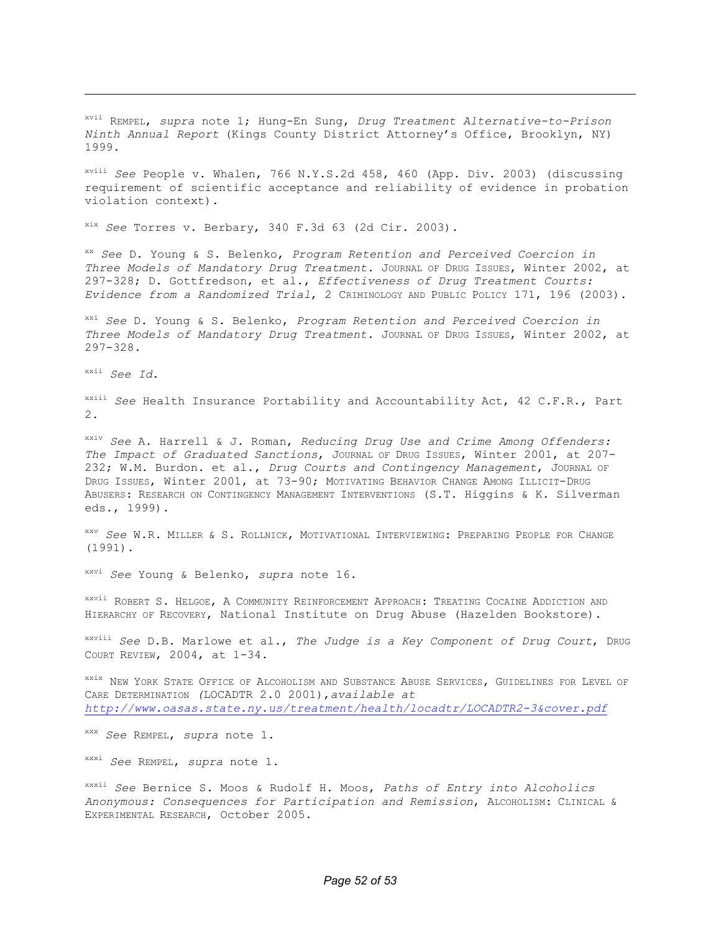xvii REMPEL, *supra* note 1; Hung-En Sung, *Drug Treatment Alternative-to-Prison Ninth Annual Report* (Kings County District Attorney's Office, Brooklyn, NY) 1999.

 xviii *See* People v. Whalen, 766 [N.Y.S.2d](https://N.Y.S.2d) 458, 460 (App. Div. 2003) (discussing requirement of scientific acceptance and reliability of evidence in probation violation context).

xix *See* Torres v. Berbary, 340 F.3d 63 (2d Cir. 2003).

 xx *See* D. Young & S. Belenko, *Program Retention and Perceived Coercion in Three Models of Mandatory Drug Treatment*. JOURNAL OF DRUG ISSUES, Winter 2002, at 297-328; D. Gottfredson, et al., *Effectiveness of Drug Treatment Courts: Evidence from a Randomized Trial*, 2 CRIMINOLOGY AND PUBLIC POLICY 171, 196 (2003).

 xxi *See* D. Young & S. Belenko, *Program Retention and Perceived Coercion in Three Models of Mandatory Drug Treatment*. JOURNAL OF DRUG ISSUES, Winter 2002, at 297-328.

xxii *See Id*.

 $\overline{a}$ 

 xxiii *See* Health Insurance Portability and Accountability Act, 42 C.F.R., Part 2.

 xxiv *See* A. Harrell & J. Roman, *Reducing Drug Use and Crime Among Offenders: The Impact of Graduated Sanctions*, JOURNAL OF DRUG ISSUES, Winter 2001, at 207- 232; W.M. Burdon. et al., *Drug Courts and Contingency Management*, JOURNAL OF DRUG ISSUES, Winter 2001, at 73-90; MOTIVATING BEHAVIOR CHANGE AMONG ILLICIT-DRUG ABUSERS: RESEARCH ON CONTINGENCY MANAGEMENT INTERVENTIONS (S.T. Higgins & K. Silverman eds., 1999).

 xxv *See* W.R. MILLER & S. ROLLNICK, MOTIVATIONAL INTERVIEWING: PREPARING PEOPLE FOR CHANGE (1991).

xxvi *See* Young & Belenko, *supra* note 16.

 xxvii ROBERT S. HELGOE, A COMMUNITY REINFORCEMENT APPROACH: TREATING COCAINE ADDICTION AND HIERARCHY OF RECOVERY, National Institute on Drug Abuse (Hazelden Bookstore).

 xxviii *See* D.B. Marlowe et al., *The Judge is a Key Component of Drug Court*, DRUG COURT REVIEW, 2004, at 1-34.

<sup>xxix</sup> NEW YORK STATE OFFICE OF ALCOHOLISM AND SUBSTANCE ABUSE SERVICES, GUIDELINES FOR LEVEL OF CARE DETERMINATION *(*LOCADTR 2.0 2001),*available at <http://www.oasas.state.ny.us/treatment/health/locadtr/LOCADTR2-3&cover.pdf>*

xxx *See* REMPEL, *supra* note 1.

xxxi *See* REMPEL, *supra* note 1.

 xxxii *See* Bernice S. Moos & Rudolf H. Moos, *Paths of Entry into Alcoholics Anonymous: Consequences for Participation and Remission*, ALCOHOLISM: CLINICAL & EXPERIMENTAL RESEARCH, October 2005.